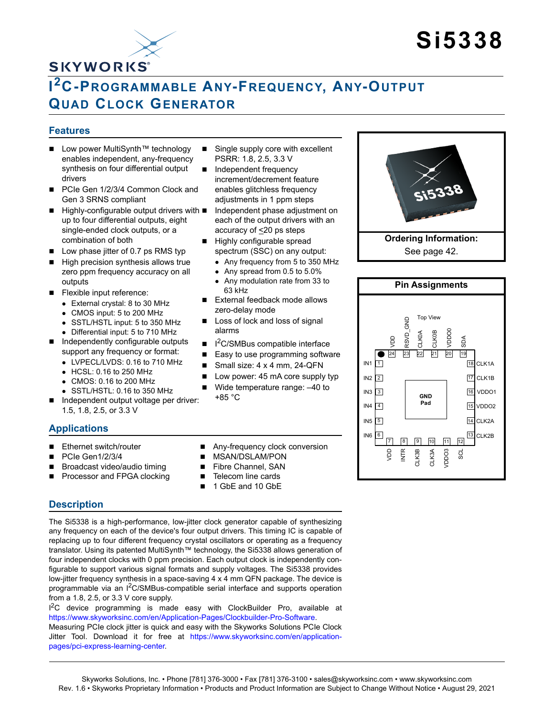

# **Si5338**

## **I 2C-PROGRAMMABLE ANY-FREQUENCY, ANY-OUTPUT QUAD CLOCK GENERATOR**

#### <span id="page-0-0"></span>**Features**

- Low power MultiSynth™ technology enables independent, any-frequency synthesis on four differential output drivers
- PCIe Gen 1/2/3/4 Common Clock and Gen 3 SRNS compliant
- Highly-configurable output drivers with up to four differential outputs, eight single-ended clock outputs, or a combination of both
- $\blacksquare$  Low phase jitter of 0.7 ps RMS typ
- $\blacksquare$  High precision synthesis allows true zero ppm frequency accuracy on all outputs
- Flexible input reference:
	- External crystal: 8 to 30 MHz
	- CMOS input: 5 to 200 MHz
	- SSTL/HSTL input: 5 to 350 MHz
	- Differential input: 5 to 710 MHz
- Independently configurable outputs support any frequency or format:
	- LVPECL/LVDS: 0.16 to 710 MHz
	- HCSL: 0.16 to 250 MHz
	- CMOS: 0.16 to 200 MHz
- SSTL/HSTL: 0.16 to 350 MHz ■ Independent output voltage per driver:
- 1.5, 1.8, 2.5, or 3.3 V

### **Applications**

- Ethernet switch/router
- PCIe Gen1/2/3/4
- Broadcast video/audio timing
- Processor and FPGA clocking
- Single supply core with excellent PSRR: 1.8, 2.5, 3.3 V
- **Independent frequency** increment/decrement feature enables glitchless frequency adjustments in 1 ppm steps
- Independent phase adjustment on each of the output drivers with an accuracy of  $\leq$ 20 ps steps
- Highly configurable spread spectrum (SSC) on any output:
	- Any frequency from 5 to 350 MHz
	- Any spread from 0.5 to 5.0%
	- Any modulation rate from 33 to 63 kHz
- External feedback mode allows zero-delay mode
- Loss of lock and loss of signal alarms
- I 2C/SMBus compatible interface
- Easy to use programming software
- Small size: 4 x 4 mm, 24-QFN
- Low power: 45 mA core supply typ
- Wide temperature range: -40 to +85 °C
- Any-frequency clock conversion
- MSAN/DSLAM/PON
- Fibre Channel, SAN ■ Telecom line cards
- 
- 1 GbE and 10 GbE

### **Description**

The Si5338 is a high-performance, low-jitter clock generator capable of synthesizing any frequency on each of the device's four output drivers. This timing IC is capable of replacing up to four different frequency crystal oscillators or operating as a frequency translator. Using its patented MultiSynth™ technology, the Si5338 allows generation of four independent clocks with 0 ppm precision. Each output clock is independently configurable to support various signal formats and supply voltages. The Si5338 provides low-jitter frequency synthesis in a space-saving 4 x 4 mm QFN package. The device is programmable via an  $1<sup>2</sup>C/SMBus-compatible$  serial interface and supports operationfrom a 1.8, 2.5, or 3.3 V core supply.

<sup>12</sup>C device programming is made easy with ClockBuilder Pro, available at https://www.skyworksinc.com/en/Application-Pages/Clockbuilder-Pro-Software. Measuring PCIe clock jitter is quick and easy with the Skyworks Solutions PCIe Clock Jitter Tool. Download it for free at [https://www.skyworksinc.com/en/application-](https://www.skyworksinc.com/en/application-pages/pci-express-learning-center)

[pages/pci-express-learning-center.](https://www.skyworksinc.com/en/application-pages/pci-express-learning-center)

**Ordering Information:** See [page 42.](#page-41-0)

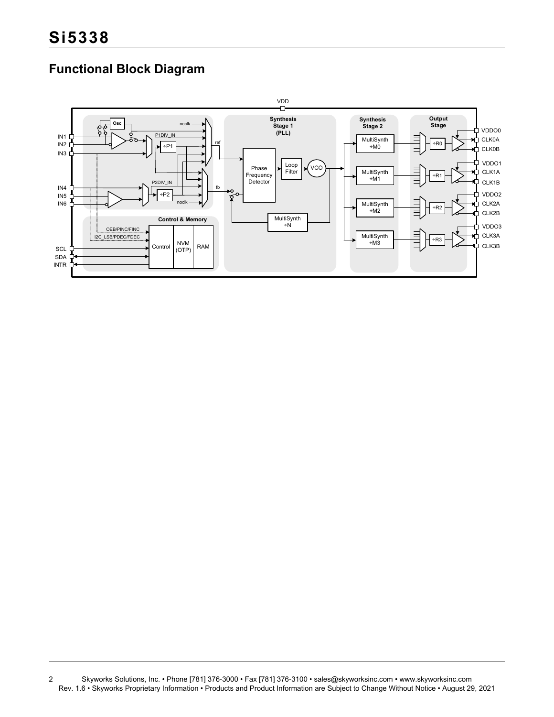## **Functional Block Diagram**



<sup>2</sup> Skyworks Solutions, Inc. • Phone [781] 376-3000 • Fax [781] 376-3100 • sales@skyworksinc.com • www.skyworksinc.com Rev. 1.6 • Skyworks Proprietary Information • Products and Product Information are Subject to Change Without Notice • August 29, 2021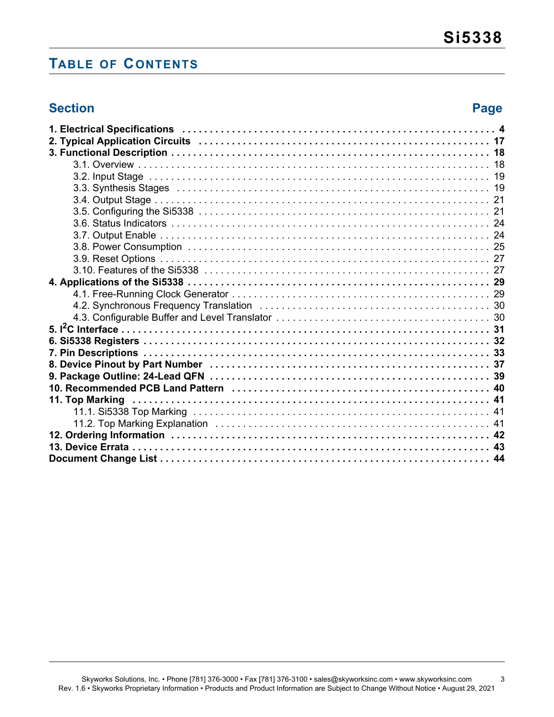## **TABLE OF CONTENTS**

## **Section Page**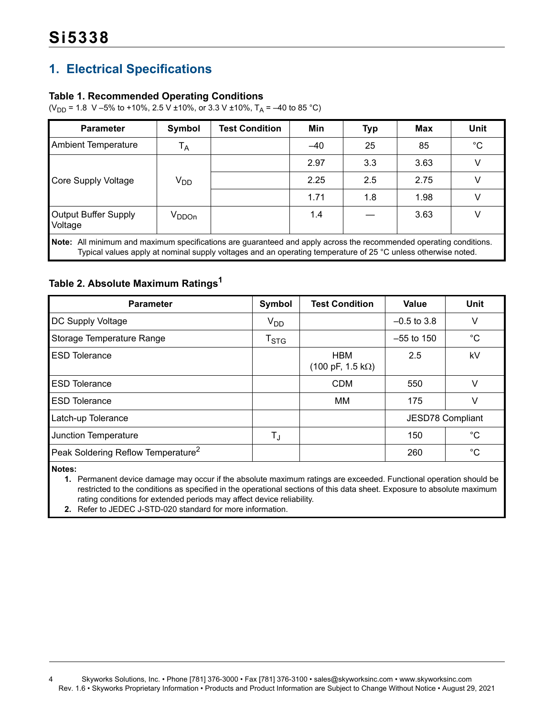## <span id="page-3-0"></span>**1. Electrical Specifications**

### **Table 1. Recommended Operating Conditions**

( $V_{DD}$  = 1.8 V –5% to +10%, 2.5 V ±10%, or 3.3 V ±10%, T<sub>A</sub> = –40 to 85 °C)

| <b>Parameter</b>                                                                                                                                                                                                                    | Symbol          | <b>Test Condition</b> | Min   | <b>Typ</b> | <b>Max</b> | Unit        |  |  |  |
|-------------------------------------------------------------------------------------------------------------------------------------------------------------------------------------------------------------------------------------|-----------------|-----------------------|-------|------------|------------|-------------|--|--|--|
| <b>Ambient Temperature</b>                                                                                                                                                                                                          | $T_A$           |                       | $-40$ | 25         | 85         | $^{\circ}C$ |  |  |  |
|                                                                                                                                                                                                                                     |                 |                       | 2.97  | 3.3        | 3.63       |             |  |  |  |
| <b>Core Supply Voltage</b>                                                                                                                                                                                                          | V <sub>DD</sub> |                       | 2.25  | 2.5        | 2.75       | v           |  |  |  |
|                                                                                                                                                                                                                                     |                 |                       | 1.71  | 1.8        | 1.98       | V           |  |  |  |
| Output Buffer Supply<br>Voltage                                                                                                                                                                                                     | $V_{DDOn}$      |                       | 1.4   |            | 3.63       |             |  |  |  |
| Note: All minimum and maximum specifications are guaranteed and apply across the recommended operating conditions.<br>Typical values apply at nominal supply voltages and an operating temperature of 25 °C unless otherwise noted. |                 |                       |       |            |            |             |  |  |  |

## <span id="page-3-3"></span>**Table 2. Absolute Maximum Ratings[1](#page-3-1)**

| <b>Parameter</b>                               | Symbol                      | <b>Test Condition</b>                                 | Value                   | Unit        |
|------------------------------------------------|-----------------------------|-------------------------------------------------------|-------------------------|-------------|
| DC Supply Voltage                              | V <sub>DD</sub>             |                                                       | $-0.5$ to 3.8           | v           |
| Storage Temperature Range                      | $\mathsf{T}_{\textsf{STG}}$ |                                                       | $-55$ to 150            | $^{\circ}C$ |
| <b>ESD Tolerance</b>                           |                             | <b>HBM</b><br>$(100 \text{ pF}, 1.5 \text{ k}\Omega)$ | 2.5                     | kV          |
| <b>ESD Tolerance</b>                           |                             | <b>CDM</b>                                            | 550                     |             |
| <b>ESD Tolerance</b>                           |                             | MM                                                    | 175                     | v           |
| Latch-up Tolerance                             |                             |                                                       | <b>JESD78 Compliant</b> |             |
| Junction Temperature                           | T,                          |                                                       | 150                     | $^{\circ}C$ |
| Peak Soldering Reflow Temperature <sup>2</sup> |                             |                                                       | 260                     | $^{\circ}C$ |

<span id="page-3-1"></span>**Notes:**

**1.** Permanent device damage may occur if the absolute maximum ratings are exceeded. Functional operation should be restricted to the conditions as specified in the operational sections of this data sheet. Exposure to absolute maximum rating conditions for extended periods may affect device reliability.

<span id="page-3-2"></span>**2.** Refer to JEDEC J-STD-020 standard for more information.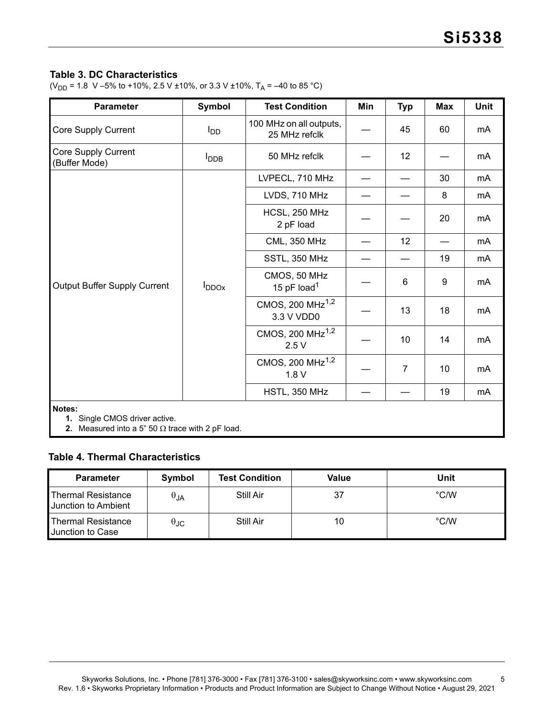### <span id="page-4-2"></span>**Table 3. DC Characteristics**

(V<sub>DD</sub> = 1.8 V –5% to +10%, 2.5 V ±10%, or 3.3 V ±10%, T<sub>A</sub> = –40 to 85 °C)

| <b>Parameter</b>                                                                                   | Symbol           | <b>Test Condition</b>                      | Min | <b>Typ</b>     | <b>Max</b> | <b>Unit</b> |
|----------------------------------------------------------------------------------------------------|------------------|--------------------------------------------|-----|----------------|------------|-------------|
| Core Supply Current                                                                                | $I_{DD}$         | 100 MHz on all outputs,<br>25 MHz refclk   |     | 45             | 60         | mA          |
| Core Supply Current<br>(Buffer Mode)                                                               | l <sub>DDB</sub> | 50 MHz refclk                              |     | 12             |            | mA          |
|                                                                                                    |                  | LVPECL, 710 MHz                            |     |                | 30         | mA          |
|                                                                                                    |                  | LVDS, 710 MHz                              |     |                | 8          | mA          |
|                                                                                                    |                  | HCSL, 250 MHz<br>2 pF load                 |     |                | 20         | mA          |
|                                                                                                    | $I_{DDOX}$       | <b>CML, 350 MHz</b>                        |     | 12             |            | mA          |
|                                                                                                    |                  | SSTL, 350 MHz                              |     |                | 19         | mA          |
| Output Buffer Supply Current                                                                       |                  | CMOS, 50 MHz<br>15 pF load <sup>1</sup>    |     | 6              | 9          | mA          |
|                                                                                                    |                  | CMOS, 200 MHz <sup>1,2</sup><br>3.3 V VDD0 |     | 13             | 18         | mA          |
|                                                                                                    |                  | CMOS, 200 MHz <sup>1,2</sup><br>2.5V       |     | 10             | 14         | mA          |
|                                                                                                    |                  | CMOS, 200 MHz <sup>1,2</sup><br>1.8V       |     | $\overline{7}$ | 10         | mA          |
|                                                                                                    |                  | HSTL, 350 MHz                              |     |                | 19         | mA          |
| Notes:<br>1. Single CMOS driver active.<br>2. Measured into a 5" 50 $\Omega$ trace with 2 pF load. |                  |                                            |     |                |            |             |

#### <span id="page-4-1"></span><span id="page-4-0"></span>**Table 4. Thermal Characteristics**

| <b>Parameter</b>                          | Symbol        | <b>Test Condition</b> | Value | Unit          |
|-------------------------------------------|---------------|-----------------------|-------|---------------|
| Thermal Resistance<br>Junction to Ambient | $\theta_{JA}$ | Still Air             | 37    | $\degree$ C/W |
| Thermal Resistance<br>Junction to Case    | მედ           | Still Air             | 10    | $\degree$ C/W |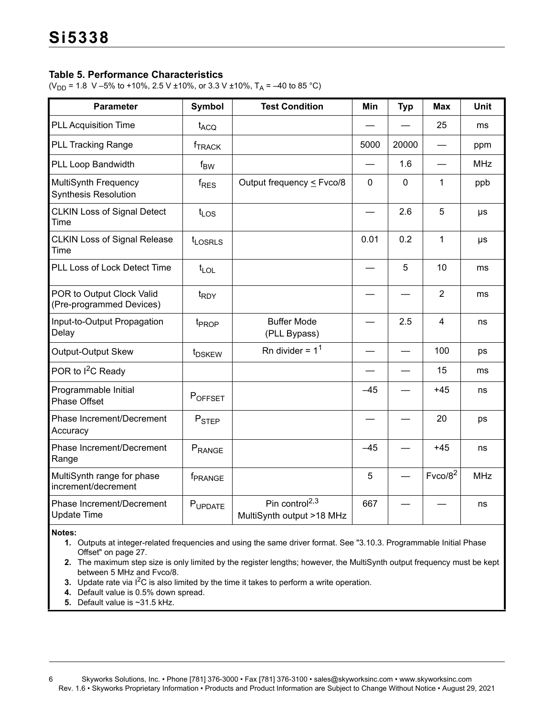### **Table 5. Performance Characteristics**

(V<sub>DD</sub> = 1.8 V –5% to +10%, 2.5 V ±10%, or 3.3 V ±10%, T<sub>A</sub> = –40 to 85 °C)

| <b>Parameter</b>                                           | <b>Symbol</b>             | <b>Test Condition</b>                                   | Min      | <b>Typ</b>  | <b>Max</b>          | <b>Unit</b> |
|------------------------------------------------------------|---------------------------|---------------------------------------------------------|----------|-------------|---------------------|-------------|
| <b>PLL Acquisition Time</b>                                | t <sub>ACQ</sub>          |                                                         |          |             | 25                  | ms          |
| <b>PLL Tracking Range</b>                                  | <b>f</b> <sub>TRACK</sub> |                                                         | 5000     | 20000       |                     | ppm         |
| PLL Loop Bandwidth                                         | $f_{BW}$                  |                                                         |          | 1.6         |                     | <b>MHz</b>  |
| <b>MultiSynth Frequency</b><br><b>Synthesis Resolution</b> | $f_{RES}$                 | Output frequency $\leq$ Fvco/8                          | $\Omega$ | $\mathbf 0$ | 1                   | ppb         |
| <b>CLKIN Loss of Signal Detect</b><br>Time                 | $t_{LOS}$                 |                                                         |          | 2.6         | 5                   | μs          |
| <b>CLKIN Loss of Signal Release</b><br>Time                | $t_{LOSRLS}$              |                                                         | 0.01     | 0.2         | $\mathbf{1}$        | μs          |
| PLL Loss of Lock Detect Time                               | $t_{\text{LOL}}$          |                                                         |          | 5           | 10                  | ms          |
| POR to Output Clock Valid<br>(Pre-programmed Devices)      | t <sub>RDY</sub>          |                                                         |          |             | $\overline{2}$      | ms          |
| Input-to-Output Propagation<br>Delay                       | t <sub>PROP</sub>         | <b>Buffer Mode</b><br>(PLL Bypass)                      |          | 2.5         | $\overline{4}$      | ns          |
| Output-Output Skew                                         | t <sub>DSKEW</sub>        | Rn divider = $11$                                       |          |             | 100                 | ps          |
| POR to I <sup>2</sup> C Ready                              |                           |                                                         |          |             | 15                  | ms          |
| Programmable Initial<br><b>Phase Offset</b>                | POFFSET                   |                                                         | $-45$    |             | $+45$               | ns          |
| Phase Increment/Decrement<br>Accuracy                      | P <sub>STEP</sub>         |                                                         |          |             | 20                  | ps          |
| Phase Increment/Decrement<br>Range                         | PRANGE                    |                                                         | $-45$    |             | $+45$               | ns          |
| MultiSynth range for phase<br>increment/decrement          | f <sub>PRANGE</sub>       |                                                         | 5        |             | Fvco/8 <sup>2</sup> | <b>MHz</b>  |
| Phase Increment/Decrement<br><b>Update Time</b>            | PUPDATE                   | Pin control <sup>2,3</sup><br>MultiSynth output >18 MHz | 667      |             |                     | ns          |

#### <span id="page-5-1"></span>**Notes:**

**1.** Outputs at integer-related frequencies and using the same driver format. See ["3.10.3. Programmable Initial Phase](#page-26-2)  [Offset" on page 27](#page-26-2).

<span id="page-5-0"></span>**2.** The maximum step size is only limited by the register lengths; however, the MultiSynth output frequency must be kept between 5 MHz and Fvco/8.

<span id="page-5-2"></span>**3.** Update rate via I<sup>2</sup>C is also limited by the time it takes to perform a write operation.

<span id="page-5-4"></span>**4.** Default value is 0.5% down spread.

<span id="page-5-3"></span>**5.** Default value is ~31.5 kHz.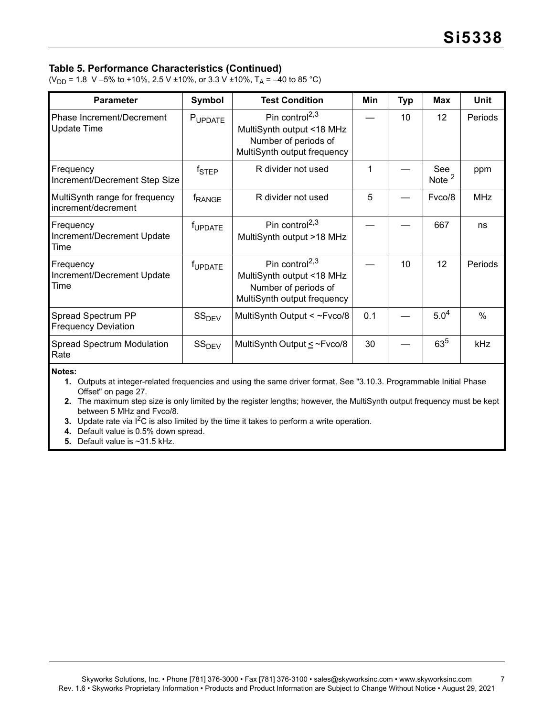### **Table 5. Performance Characteristics (Continued)**

(V<sub>DD</sub> = 1.8 V –5% to +10%, 2.5 V ±10%, or 3.3 V ±10%, T<sub>A</sub> = –40 to 85 °C)

| <b>Parameter</b>                                      | <b>Symbol</b>       | <b>Test Condition</b>                                                                                          | Min | <b>Typ</b> | <b>Max</b>      | <b>Unit</b>   |
|-------------------------------------------------------|---------------------|----------------------------------------------------------------------------------------------------------------|-----|------------|-----------------|---------------|
| Phase Increment/Decrement<br><b>Update Time</b>       | PUPDATE             | Pin control <sup>2,3</sup><br>MultiSynth output <18 MHz<br>Number of periods of<br>MultiSynth output frequency |     | 10         | 12              | Periods       |
| Frequency<br>Increment/Decrement Step Size            | $f_{\text{STEP}}$   | R divider not used                                                                                             | 1   |            | See<br>Note $2$ | ppm           |
| MultiSynth range for frequency<br>increment/decrement | <b>FRANGE</b>       | R divider not used                                                                                             | 5   |            | Fvco/8          | <b>MHz</b>    |
| Frequency<br>Increment/Decrement Update<br>Time       | f <sub>UPDATE</sub> | Pin control <sup>2,3</sup><br>MultiSynth output >18 MHz                                                        |     |            | 667             | ns            |
| Frequency<br>Increment/Decrement Update<br>Time       | f <sub>UPDATE</sub> | Pin control <sup>2,3</sup><br>MultiSynth output <18 MHz<br>Number of periods of<br>MultiSynth output frequency |     | 10         | 12              | Periods       |
| Spread Spectrum PP<br><b>Frequency Deviation</b>      | SS <sub>DEV</sub>   | MultiSynth Output $\leq$ ~Fvco/8                                                                               | 0.1 |            | $5.0^{4}$       | $\frac{0}{0}$ |
| <b>Spread Spectrum Modulation</b><br>Rate             | SS <sub>DEV</sub>   | MultiSynth Output $\leq$ ~Fvco/8                                                                               | 30  |            | $63^{5}$        | kHz           |

**Notes:**

**1.** Outputs at integer-related frequencies and using the same driver format. See "3.10.3. Programmable Initial Phase Offset" on page 27.

**2.** The maximum step size is only limited by the register lengths; however, the MultiSynth output frequency must be kept between 5 MHz and Fvco/8.

**3.** Update rate via  $1^2C$  is also limited by the time it takes to perform a write operation.

**4.** Default value is 0.5% down spread.

**5.** Default value is ~31.5 kHz.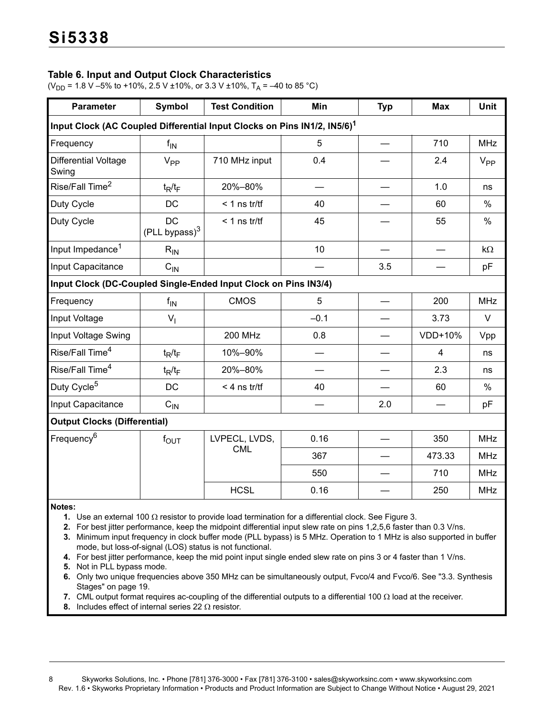### <span id="page-7-8"></span>**Table 6. Input and Output Clock Characteristics**

(V<sub>DD</sub> = 1.8 V –5% to +10%, 2.5 V ±10%, or 3.3 V ±10%, T<sub>A</sub> = –40 to 85 °C)

| <b>Parameter</b>                                                                     | Symbol                           | <b>Test Condition</b> | Min    | <b>Typ</b>      | <b>Max</b>     | <b>Unit</b>     |
|--------------------------------------------------------------------------------------|----------------------------------|-----------------------|--------|-----------------|----------------|-----------------|
| Input Clock (AC Coupled Differential Input Clocks on Pins IN1/2, IN5/6) <sup>1</sup> |                                  |                       |        |                 |                |                 |
| Frequency                                                                            | $f_{\text{IN}}$                  |                       | 5      | $\qquad \qquad$ | 710            | <b>MHz</b>      |
| Differential Voltage<br>Swing                                                        | V <sub>PP</sub>                  | 710 MHz input         | 0.4    |                 | 2.4            | V <sub>PP</sub> |
| Rise/Fall Time <sup>2</sup>                                                          | $t_R/t_F$                        | 20%-80%               |        |                 | 1.0            | ns              |
| Duty Cycle                                                                           | DC                               | $<$ 1 ns tr/tf        | 40     |                 | 60             | $\%$            |
| Duty Cycle                                                                           | <b>DC</b><br>$(PLL$ bypass $)^3$ | $<$ 1 ns tr/tf        | 45     |                 | 55             | $\%$            |
| Input Impedance <sup>1</sup>                                                         | $R_{IN}$                         |                       | 10     |                 |                | $k\Omega$       |
| Input Capacitance                                                                    | $C_{IN}$                         |                       |        | 3.5             |                | pF              |
| Input Clock (DC-Coupled Single-Ended Input Clock on Pins IN3/4)                      |                                  |                       |        |                 |                |                 |
| Frequency                                                                            | $f_{IN}$                         | <b>CMOS</b>           | 5      |                 | 200            | <b>MHz</b>      |
| Input Voltage                                                                        | $V_{I}$                          |                       | $-0.1$ |                 | 3.73           | $\vee$          |
| Input Voltage Swing                                                                  |                                  | <b>200 MHz</b>        | 0.8    |                 | VDD+10%        | Vpp             |
| Rise/Fall Time <sup>4</sup>                                                          | $t_R/t_F$                        | 10%-90%               |        |                 | $\overline{4}$ | ns              |
| Rise/Fall Time <sup>4</sup>                                                          | $t_R/t_F$                        | 20%-80%               |        |                 | 2.3            | ns              |
| Duty Cycle <sup>5</sup>                                                              | <b>DC</b>                        | $<$ 4 ns tr/tf        | 40     |                 | 60             | $\%$            |
| Input Capacitance                                                                    | $C_{IN}$                         |                       |        | 2.0             |                | pF              |
| <b>Output Clocks (Differential)</b>                                                  |                                  |                       |        |                 |                |                 |
| Frequency <sup>6</sup>                                                               | $f_{\text{OUT}}$                 | LVPECL, LVDS,         | 0.16   |                 | 350            | <b>MHz</b>      |
|                                                                                      |                                  | <b>CML</b>            | 367    |                 | 473.33         | <b>MHz</b>      |
|                                                                                      |                                  |                       | 550    |                 | 710            | <b>MHz</b>      |
|                                                                                      |                                  | <b>HCSL</b>           | 0.16   |                 | 250            | <b>MHz</b>      |
| Notes <sup>.</sup>                                                                   |                                  |                       |        |                 |                |                 |

<span id="page-7-0"></span>**Notes:**

**1.** Use an external 100  $\Omega$  resistor to provide load termination for a differential clock. See [Figure 3.](#page-18-2)

<span id="page-7-1"></span>**2.** For best jitter performance, keep the midpoint differential input slew rate on pins 1,2,5,6 faster than 0.3 V/ns.

<span id="page-7-5"></span>**3.** Minimum input frequency in clock buffer mode (PLL bypass) is 5 MHz. Operation to 1 MHz is also supported in buffer mode, but loss-of-signal (LOS) status is not functional.

<span id="page-7-3"></span>**4.** For best jitter performance, keep the mid point input single ended slew rate on pins 3 or 4 faster than 1 V/ns.

<span id="page-7-2"></span>**5.** Not in PLL bypass mode.

<span id="page-7-4"></span>**6.** Only two unique frequencies above 350 MHz can be simultaneously output, Fvco/4 and Fvco/6. See ["3.3. Synthesis](#page-18-1)  [Stages" on page 19](#page-18-1).

<span id="page-7-6"></span>**7.** CML output format requires ac-coupling of the differential outputs to a differential 100  $\Omega$  load at the receiver.

<span id="page-7-7"></span>**8.** Includes effect of internal series 22  $\Omega$  resistor.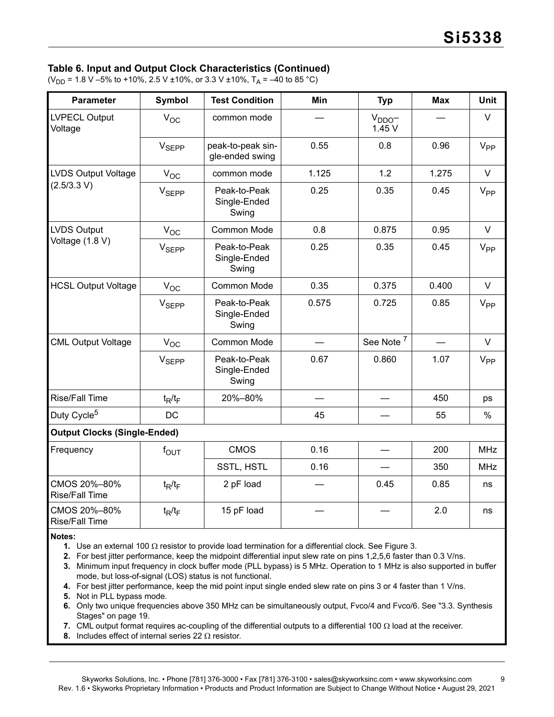#### **Table 6. Input and Output Clock Characteristics (Continued)**

(V<sub>DD</sub> = 1.8 V –5% to +10%, 2.5 V ±10%, or 3.3 V ±10%, T<sub>A</sub> = –40 to 85 °C)

| <b>Parameter</b>                      | <b>Symbol</b>     | <b>Test Condition</b>                 | Min                      | <b>Typ</b>                | <b>Max</b>               | <b>Unit</b>     |
|---------------------------------------|-------------------|---------------------------------------|--------------------------|---------------------------|--------------------------|-----------------|
| <b>LVPECL Output</b><br>Voltage       | $V_{OC}$          | common mode                           |                          | V <sub>DDO</sub><br>1.45V |                          | $\vee$          |
|                                       | V <sub>SEPP</sub> | peak-to-peak sin-<br>gle-ended swing  | 0.55                     | 0.8                       | 0.96                     | $V_{PP}$        |
| <b>LVDS Output Voltage</b>            | $V_{OC}$          | common mode                           | 1.125                    | 1.2                       | 1.275                    | $\vee$          |
| (2.5/3.3 V)                           | V <sub>SEPP</sub> | Peak-to-Peak<br>Single-Ended<br>Swing | 0.25                     | 0.35                      | 0.45                     | V <sub>PP</sub> |
| <b>LVDS Output</b>                    | $V_{OC}$          | Common Mode                           | 0.8                      | 0.875                     | 0.95                     | $\vee$          |
| Voltage (1.8 V)                       | V <sub>SEPP</sub> | Peak-to-Peak<br>Single-Ended<br>Swing | 0.25                     | 0.35                      | 0.45                     | $V_{PP}$        |
| <b>HCSL Output Voltage</b>            | $V_{OC}$          | Common Mode                           | 0.35                     | 0.375                     | 0.400                    | $\vee$          |
|                                       | V <sub>SEPP</sub> | Peak-to-Peak<br>Single-Ended<br>Swing | 0.575                    | 0.725                     | 0.85                     | $V_{PP}$        |
| <b>CML Output Voltage</b>             | $V_{OC}$          | Common Mode                           |                          | See Note <sup>7</sup>     | $\overline{\phantom{0}}$ | V               |
|                                       | V <sub>SEPP</sub> | Peak-to-Peak<br>Single-Ended<br>Swing | 0.67                     | 0.860                     | 1.07                     | V <sub>PP</sub> |
| <b>Rise/Fall Time</b>                 | $t_R/t_F$         | 20%-80%                               | $\overline{\phantom{0}}$ | $\qquad \qquad$           | 450                      | ps              |
| Duty Cycle <sup>5</sup>               | <b>DC</b>         |                                       | 45                       |                           | 55                       | $\%$            |
| <b>Output Clocks (Single-Ended)</b>   |                   |                                       |                          |                           |                          |                 |
| Frequency                             | $f_{\text{OUT}}$  | <b>CMOS</b>                           | 0.16                     |                           | 200                      | <b>MHz</b>      |
|                                       |                   | SSTL, HSTL                            | 0.16                     |                           | 350                      | <b>MHz</b>      |
| CMOS 20%-80%<br><b>Rise/Fall Time</b> | $t_R/t_F$         | 2 pF load                             |                          | 0.45                      | 0.85                     | ns              |
| CMOS 20%-80%<br><b>Rise/Fall Time</b> | $t_R/t_F$         | 15 pF load                            |                          |                           | 2.0                      | ns              |

**1.** Use an external 100  $\Omega$  resistor to provide load termination for a differential clock. See Figure 3.

**2.** For best jitter performance, keep the midpoint differential input slew rate on pins 1,2,5,6 faster than 0.3 V/ns.

**3.** Minimum input frequency in clock buffer mode (PLL bypass) is 5 MHz. Operation to 1 MHz is also supported in buffer mode, but loss-of-signal (LOS) status is not functional.

**4.** For best jitter performance, keep the mid point input single ended slew rate on pins 3 or 4 faster than 1 V/ns.

**5.** Not in PLL bypass mode.

**6.** Only two unique frequencies above 350 MHz can be simultaneously output, Fvco/4 and Fvco/6. See "3.3. Synthesis Stages" on page 19.

**7.** CML output format requires ac-coupling of the differential outputs to a differential 100  $\Omega$  load at the receiver.

**8.** Includes effect of internal series 22  $\Omega$  resistor.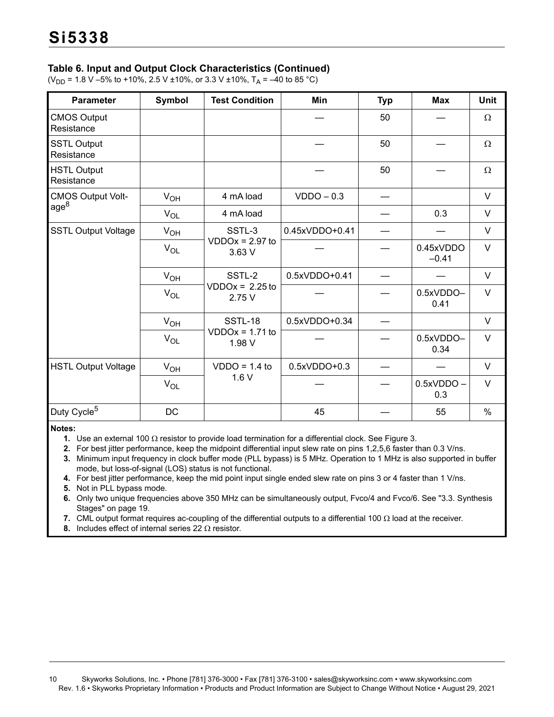### **Table 6. Input and Output Clock Characteristics (Continued)**

(V<sub>DD</sub> = 1.8 V –5% to +10%, 2.5 V ±10%, or 3.3 V ±10%, T<sub>A</sub> = –40 to 85 °C)

| <b>Parameter</b>                 | Symbol   | <b>Test Condition</b>                 | Min            | <b>Typ</b> | <b>Max</b>           | <b>Unit</b> |
|----------------------------------|----------|---------------------------------------|----------------|------------|----------------------|-------------|
| <b>CMOS Output</b><br>Resistance |          |                                       |                | 50         |                      | Ω           |
| <b>SSTL Output</b><br>Resistance |          |                                       |                | 50         |                      | $\Omega$    |
| <b>HSTL Output</b><br>Resistance |          |                                       |                | 50         |                      | $\Omega$    |
| <b>CMOS Output Volt-</b>         | $V_{OH}$ | 4 mA load                             | $VDDO - 0.3$   |            |                      | $\vee$      |
| age <sup>8</sup>                 | $V_{OL}$ | 4 mA load                             |                |            | 0.3                  | $\vee$      |
| <b>SSTL Output Voltage</b>       | $V_{OH}$ | SSTL-3<br>$VDDOx = 2.97$ to<br>3.63 V | 0.45xVDDO+0.41 |            |                      | $\vee$      |
|                                  | $V_{OL}$ |                                       |                |            | 0.45xVDDO<br>$-0.41$ | $\vee$      |
|                                  | $V_{OH}$ | SSTL-2                                | 0.5xVDDO+0.41  |            |                      | $\vee$      |
|                                  | $V_{OL}$ | $VDDOx = 2.25$ to<br>2.75 V           |                |            | 0.5xVDDO-<br>0.41    | $\vee$      |
|                                  | $V_{OH}$ | <b>SSTL-18</b>                        | 0.5xVDDO+0.34  |            |                      | $\vee$      |
|                                  | $V_{OL}$ | $VDDOx = 1.71$ to<br>1.98 V           |                |            | 0.5xVDDO-<br>0.34    | $\vee$      |
| <b>HSTL Output Voltage</b>       | $V_{OH}$ | $VDDO = 1.4$ to                       | 0.5xVDDO+0.3   |            |                      | $\vee$      |
|                                  | $V_{OL}$ | 1.6V                                  |                |            | $0.5xVDDO -$<br>0.3  | $\vee$      |
| Duty Cycle <sup>5</sup>          | DC       |                                       | 45             |            | 55                   | $\%$        |

**Notes:**

**1.** Use an external 100  $\Omega$  resistor to provide load termination for a differential clock. See Figure 3.

**2.** For best jitter performance, keep the midpoint differential input slew rate on pins 1,2,5,6 faster than 0.3 V/ns.

**3.** Minimum input frequency in clock buffer mode (PLL bypass) is 5 MHz. Operation to 1 MHz is also supported in buffer mode, but loss-of-signal (LOS) status is not functional.

**4.** For best jitter performance, keep the mid point input single ended slew rate on pins 3 or 4 faster than 1 V/ns.

**5.** Not in PLL bypass mode.

**6.** Only two unique frequencies above 350 MHz can be simultaneously output, Fvco/4 and Fvco/6. See "3.3. Synthesis Stages" on page 19.

**7.** CML output format requires ac-coupling of the differential outputs to a differential 100  $\Omega$  load at the receiver.

**8.** Includes effect of internal series 22  $\Omega$  resistor.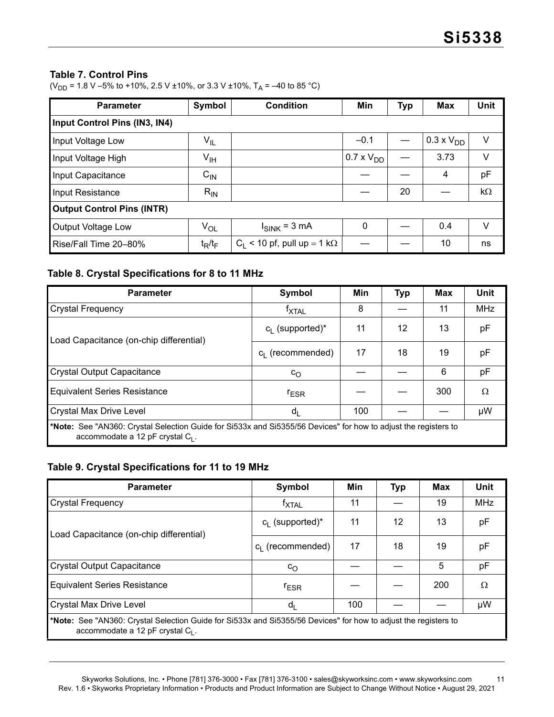#### **Table 7. Control Pins**

(V<sub>DD</sub> = 1.8 V –5% to +10%, 2.5 V ±10%, or 3.3 V ±10%, T<sub>A</sub> = –40 to 85 °C)

| <b>Parameter</b>                  | Symbol                     | <b>Condition</b>                      | Min                 | <b>Typ</b> | <b>Max</b>          | Unit |  |  |  |  |
|-----------------------------------|----------------------------|---------------------------------------|---------------------|------------|---------------------|------|--|--|--|--|
| Input Control Pins (IN3, IN4)     |                            |                                       |                     |            |                     |      |  |  |  |  |
| Input Voltage Low                 | $\mathsf{V}_{\mathsf{IL}}$ |                                       | $-0.1$              |            | $0.3 \times V_{DD}$ | V    |  |  |  |  |
| Input Voltage High                | V <sub>IH</sub>            |                                       | $0.7 \times V_{DD}$ |            | 3.73                | V    |  |  |  |  |
| Input Capacitance                 | $C_{IN}$                   |                                       |                     |            | 4                   | pF   |  |  |  |  |
| Input Resistance                  | $R_{IN}$                   |                                       |                     | 20         |                     | kΩ   |  |  |  |  |
| <b>Output Control Pins (INTR)</b> |                            |                                       |                     |            |                     |      |  |  |  |  |
| <b>Output Voltage Low</b>         | $V_{OL}$                   | $I_{SINK}$ = 3 mA                     | $\mathbf 0$         |            | 0.4                 | V    |  |  |  |  |
| Rise/Fall Time 20-80%             | $t_R/t_F$                  | $C_1$ < 10 pf, pull up = 1 k $\Omega$ |                     |            | 10                  | ns   |  |  |  |  |

### <span id="page-10-0"></span>**Table 8. Crystal Specifications for 8 to 11 MHz**

| <b>Parameter</b>                                                                                                                                       | Symbol              | Min | <b>Typ</b> | <b>Max</b> | Unit       |  |  |  |  |
|--------------------------------------------------------------------------------------------------------------------------------------------------------|---------------------|-----|------------|------------|------------|--|--|--|--|
| <b>Crystal Frequency</b>                                                                                                                               | $f_{\text{XTAL}}$   | 8   |            | 11         | <b>MHz</b> |  |  |  |  |
| Load Capacitance (on-chip differential)                                                                                                                | $c_i$ (supported)*  | 11  | 12         | 13         | рF         |  |  |  |  |
|                                                                                                                                                        | $c_i$ (recommended) | 17  | 18         | 19         | pF         |  |  |  |  |
| <b>Crystal Output Capacitance</b>                                                                                                                      | $c_{\rm O}$         |     |            | 6          | pF         |  |  |  |  |
| <b>Equivalent Series Resistance</b>                                                                                                                    | $r_{ESR}$           |     |            | 300        | Ω          |  |  |  |  |
| <b>Crystal Max Drive Level</b>                                                                                                                         | $d_1$               | 100 |            |            | μW         |  |  |  |  |
| *Note: See "AN360: Crystal Selection Guide for Si533x and Si5355/56 Devices" for how to adjust the registers to<br>accommodate a 12 pF crystal $C_1$ . |                     |     |            |            |            |  |  |  |  |

### **Table 9. Crystal Specifications for 11 to 19 MHz**

| <b>Parameter</b>                                                                                                                                       | Symbol                       | Min | <b>Typ</b> | <b>Max</b> | <b>Unit</b> |  |  |  |
|--------------------------------------------------------------------------------------------------------------------------------------------------------|------------------------------|-----|------------|------------|-------------|--|--|--|
| <b>Crystal Frequency</b>                                                                                                                               | <sup>T</sup> XTAL            | 11  |            | 19         | <b>MHz</b>  |  |  |  |
| Load Capacitance (on-chip differential)                                                                                                                | $c_i$ (supported)*           | 11  | 12         | 13         | рF          |  |  |  |
|                                                                                                                                                        | c <sub>l</sub> (recommended) | 17  | 18         | 19         | рF          |  |  |  |
| <b>Crystal Output Capacitance</b>                                                                                                                      | $c_{\rm O}$                  |     |            | 5          | рF          |  |  |  |
| <b>Equivalent Series Resistance</b>                                                                                                                    | <b>FESR</b>                  |     |            | 200        | Ω           |  |  |  |
| <b>Crystal Max Drive Level</b>                                                                                                                         | $d_L$                        | 100 |            |            | μW          |  |  |  |
| *Note: See "AN360: Crystal Selection Guide for Si533x and Si5355/56 Devices" for how to adjust the registers to<br>accommodate a 12 pF crystal $C_1$ . |                              |     |            |            |             |  |  |  |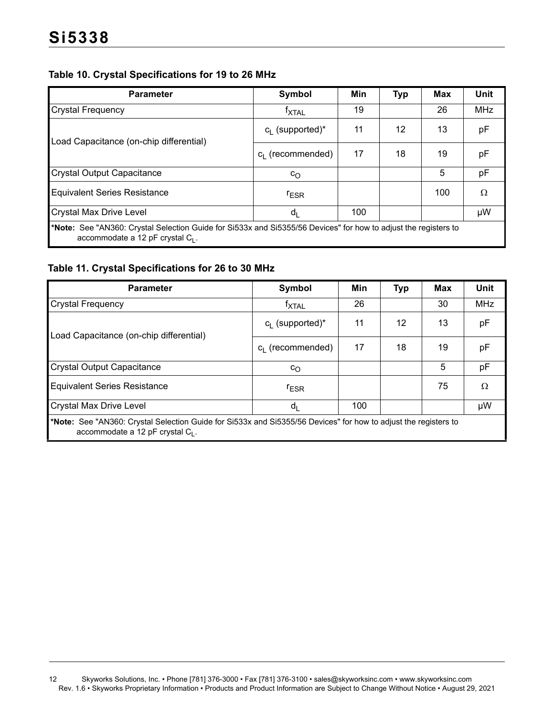## **Table 10. Crystal Specifications for 19 to 26 MHz**

| <b>Parameter</b>                                                                                                                                       | Symbol             | Min | <b>Typ</b> | <b>Max</b> | Unit       |  |  |  |
|--------------------------------------------------------------------------------------------------------------------------------------------------------|--------------------|-----|------------|------------|------------|--|--|--|
| <b>Crystal Frequency</b>                                                                                                                               | <b>TXTAL</b>       | 19  |            | 26         | <b>MHz</b> |  |  |  |
| Load Capacitance (on-chip differential)                                                                                                                | $c_i$ (supported)* | 11  | 12         | 13         | рF         |  |  |  |
|                                                                                                                                                        | $c1$ (recommended) | 17  | 18         | 19         | pF         |  |  |  |
| <b>Crystal Output Capacitance</b>                                                                                                                      | $c_{\rm O}$        |     |            | 5          | pF         |  |  |  |
| <b>Equivalent Series Resistance</b>                                                                                                                    | $r_{ESR}$          |     |            | 100        | Ω          |  |  |  |
| <b>Crystal Max Drive Level</b>                                                                                                                         | $d_{L}$            | 100 |            |            | μW         |  |  |  |
| *Note: See "AN360: Crystal Selection Guide for Si533x and Si5355/56 Devices" for how to adjust the registers to<br>accommodate a 12 pF crystal $C_1$ . |                    |     |            |            |            |  |  |  |

### <span id="page-11-0"></span>**Table 11. Crystal Specifications for 26 to 30 MHz**

| <b>Parameter</b>                                                                                                                                       | Symbol              | Min | <b>Typ</b> | <b>Max</b> | Unit       |  |  |  |
|--------------------------------------------------------------------------------------------------------------------------------------------------------|---------------------|-----|------------|------------|------------|--|--|--|
| <b>Crystal Frequency</b>                                                                                                                               | <b>TXTAL</b>        | 26  |            | 30         | <b>MHz</b> |  |  |  |
| Load Capacitance (on-chip differential)                                                                                                                | $c_i$ (supported)*  | 11  | 12         | 13         | pF         |  |  |  |
|                                                                                                                                                        | $c_i$ (recommended) | 17  | 18         | 19         | рF         |  |  |  |
| <b>Crystal Output Capacitance</b>                                                                                                                      | $c_{\rm O}$         |     |            | 5          | рF         |  |  |  |
| <b>Equivalent Series Resistance</b>                                                                                                                    | <b>FESR</b>         |     |            | 75         | Ω          |  |  |  |
| <b>Crystal Max Drive Level</b>                                                                                                                         | d <sub>l</sub>      | 100 |            |            | μW         |  |  |  |
| *Note: See "AN360: Crystal Selection Guide for Si533x and Si5355/56 Devices" for how to adjust the registers to<br>accommodate a 12 pF crystal $C_1$ . |                     |     |            |            |            |  |  |  |

<sup>12</sup> Skyworks Solutions, Inc. • Phone [781] 376-3000 • Fax [781] 376-3100 • sales@skyworksinc.com • www.skyworksinc.com Rev. 1.6 • Skyworks Proprietary Information • Products and Product Information are Subject to Change Without Notice • August 29, 2021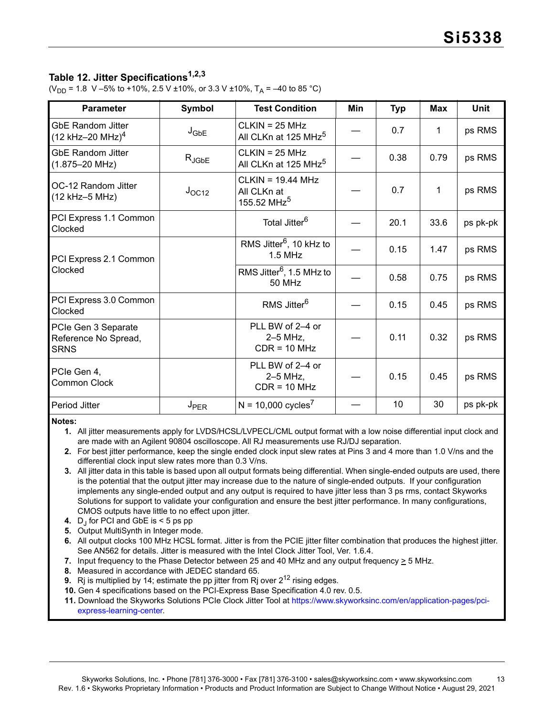## <span id="page-12-9"></span>**Table 12. Jitter Specifications[1,](#page-12-0)[2](#page-12-1)[,3](#page-12-4)**

(V<sub>DD</sub> = 1.8 V –5% to +10%, 2.5 V ±10%, or 3.3 V ±10%, T<sub>A</sub> = –40 to 85 °C)

| <b>Parameter</b>                                           | Symbol           | <b>Test Condition</b>                                         | Min | <b>Typ</b> | <b>Max</b> | <b>Unit</b> |
|------------------------------------------------------------|------------------|---------------------------------------------------------------|-----|------------|------------|-------------|
| <b>GbE Random Jitter</b><br>(12 kHz-20 MHz) <sup>4</sup>   | $J_{\text{GbE}}$ | $CLKIN = 25 MHz$<br>All CLKn at 125 MHz <sup>5</sup>          |     | 0.7        | 1          | ps RMS      |
| <b>GbE Random Jitter</b><br>$(1.875 - 20$ MHz)             | $R_{JGbE}$       | $CLKIN = 25 MHz$<br>All CLKn at 125 MHz <sup>5</sup>          |     | 0.38       | 0.79       | ps RMS      |
| OC-12 Random Jitter<br>(12 kHz-5 MHz)                      | $J_{OC12}$       | $CLKIN = 19.44 MHz$<br>All CLKn at<br>155.52 MHz <sup>5</sup> |     | 0.7        | 1          | ps RMS      |
| PCI Express 1.1 Common<br>Clocked                          |                  | Total Jitter <sup>6</sup>                                     |     | 20.1       | 33.6       | ps pk-pk    |
| PCI Express 2.1 Common                                     |                  | RMS Jitter <sup>6</sup> , 10 kHz to<br>$1.5$ MHz              |     | 0.15       | 1.47       | ps RMS      |
| Clocked                                                    |                  | RMS Jitter <sup>6</sup> , 1.5 MHz to<br>50 MHz                |     | 0.58       | 0.75       | ps RMS      |
| PCI Express 3.0 Common<br>Clocked                          |                  | RMS Jitter <sup>6</sup>                                       |     | 0.15       | 0.45       | ps RMS      |
| PCIe Gen 3 Separate<br>Reference No Spread,<br><b>SRNS</b> |                  | PLL BW of 2-4 or<br>$2-5$ MHz,<br>$CDR = 10 MHz$              |     | 0.11       | 0.32       | ps RMS      |
| PCIe Gen 4,<br><b>Common Clock</b>                         |                  | PLL BW of 2-4 or<br>$2-5$ MHz,<br>$CDR = 10 MHz$              |     | 0.15       | 0.45       | ps RMS      |
| Period Jitter                                              | J <sub>PER</sub> | $N = 10,000$ cycles <sup>7</sup>                              |     | 10         | 30         | ps pk-pk    |

<span id="page-12-0"></span>**Notes:**

**1.** All jitter measurements apply for LVDS/HCSL/LVPECL/CML output format with a low noise differential input clock and are made with an Agilent 90804 oscilloscope. All RJ measurements use RJ/DJ separation.

<span id="page-12-1"></span>**2.** For best jitter performance, keep the single ended clock input slew rates at Pins 3 and 4 more than 1.0 V/ns and the differential clock input slew rates more than 0.3 V/ns.

- <span id="page-12-4"></span>**3.** All jitter data in this table is based upon all output formats being differential. When single-ended outputs are used, there is the potential that the output jitter may increase due to the nature of single-ended outputs. If your configuration implements any single-ended output and any output is required to have jitter less than 3 ps rms, contact Skyworks Solutions for support to validate your configuration and ensure the best jitter performance. In many configurations, CMOS outputs have little to no effect upon jitter.
- <span id="page-12-2"></span>**4.** D<sub>j</sub> for PCI and GbE is < 5 ps pp
- <span id="page-12-3"></span>**5.** Output MultiSynth in Integer mode.
- <span id="page-12-6"></span>**6.** All output clocks 100 MHz HCSL format. Jitter is from the PCIE jitter filter combination that produces the highest jitter. See AN562 for details. Jitter is measured with the Intel Clock Jitter Tool, Ver. 1.6.4.
- <span id="page-12-5"></span>**7.** Input frequency to the Phase Detector between 25 and 40 MHz and any output frequency > 5 MHz.
- <span id="page-12-7"></span>**8.** Measured in accordance with JEDEC standard 65.
- <span id="page-12-8"></span>**9.** Ri is multiplied by 14; estimate the pp jitter from Ri over  $2^{12}$  rising edges.
- **10.** Gen 4 specifications based on the PCI-Express Base Specification 4.0 rev. 0.5.
- **11.** Download the Skyworks Solutions PCIe Clock Jitter Tool at [https://www.skyworksinc.com/en/application-pages/pci](https://www.skyworksinc.com/en/application-pages/pci-express-learning-center)[express-learning-center.](https://www.skyworksinc.com/en/application-pages/pci-express-learning-center)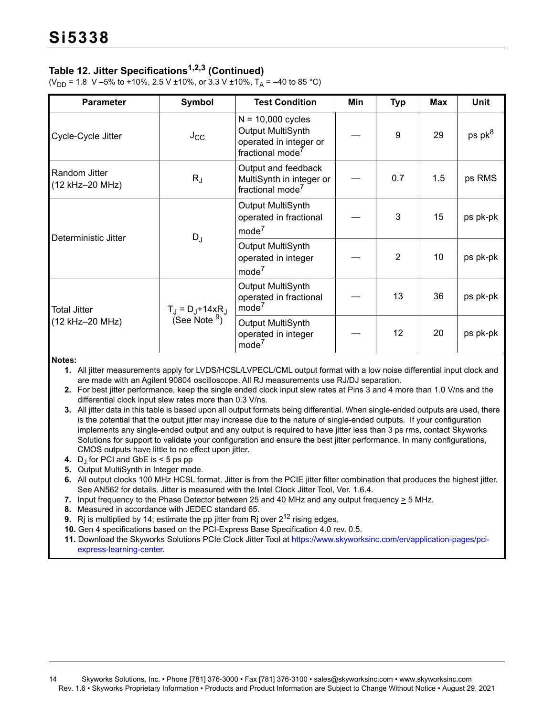## **Table 12. Jitter Specifications1,2,3 (Continued)**

(V<sub>DD</sub> = 1.8 V –5% to +10%, 2.5 V ±10%, or 3.3 V ±10%, T<sub>A</sub> = –40 to 85 °C)

| <b>Parameter</b>                 | Symbol                                                     | <b>Test Condition</b>                                                                              | Min | <b>Typ</b>      | Max | <b>Unit</b> |
|----------------------------------|------------------------------------------------------------|----------------------------------------------------------------------------------------------------|-----|-----------------|-----|-------------|
| Cycle-Cycle Jitter               | $J_{\rm CC}$                                               | $N = 10,000$ cycles<br>Output MultiSynth<br>operated in integer or<br>fractional mode <sup>7</sup> |     | 9               | 29  | ps $pk^8$   |
| Random Jitter<br>(12 kHz-20 MHz) | $R_{J}$                                                    | Output and feedback<br>MultiSynth in integer or<br>fractional mode <sup>7</sup>                    |     | 0.7             | 1.5 | ps RMS      |
|                                  | $D_J$                                                      | Output MultiSynth<br>operated in fractional<br>mode <sup>7</sup>                                   |     | 3               | 15  | ps pk-pk    |
| Deterministic Jitter             |                                                            | Output MultiSynth<br>operated in integer<br>mode <sup>7</sup>                                      |     | $\overline{2}$  | 10  | ps pk-pk    |
| Total Jitter                     | $T_{\rm J} = D_{\rm J} + 14xR_{\rm J}$<br>(See Note $9)$ ) | Output MultiSynth<br>operated in fractional<br>mode <sup>7</sup>                                   |     | 13              | 36  | ps pk-pk    |
| (12 kHz-20 MHz)                  |                                                            | Output MultiSynth<br>operated in integer<br>mode <sup>7</sup>                                      |     | 12 <sup>2</sup> | 20  | ps pk-pk    |

**Notes:**

**1.** All jitter measurements apply for LVDS/HCSL/LVPECL/CML output format with a low noise differential input clock and are made with an Agilent 90804 oscilloscope. All RJ measurements use RJ/DJ separation.

**2.** For best jitter performance, keep the single ended clock input slew rates at Pins 3 and 4 more than 1.0 V/ns and the differential clock input slew rates more than 0.3 V/ns.

**3.** All jitter data in this table is based upon all output formats being differential. When single-ended outputs are used, there is the potential that the output jitter may increase due to the nature of single-ended outputs. If your configuration implements any single-ended output and any output is required to have jitter less than 3 ps rms, contact Skyworks Solutions for support to validate your configuration and ensure the best jitter performance. In many configurations, CMOS outputs have little to no effect upon jitter.

**4.** D<sub>J</sub> for PCI and GbE is < 5 ps pp

**5.** Output MultiSynth in Integer mode.

**6.** All output clocks 100 MHz HCSL format. Jitter is from the PCIE jitter filter combination that produces the highest jitter. See AN562 for details. Jitter is measured with the Intel Clock Jitter Tool, Ver. 1.6.4.

- **7.** Input frequency to the Phase Detector between 25 and 40 MHz and any output frequency  $\geq$  5 MHz.
- **8.** Measured in accordance with JEDEC standard 65.
- **9.** Rj is multiplied by 14; estimate the pp jitter from Rj over 2<sup>12</sup> rising edges.
- **10.** Gen 4 specifications based on the PCI-Express Base Specification 4.0 rev. 0.5.

**11.** Download the Skyworks Solutions PCIe Clock Jitter Tool at https://www.skyworksinc.com/en/application-pages/pciexpress-learning-center.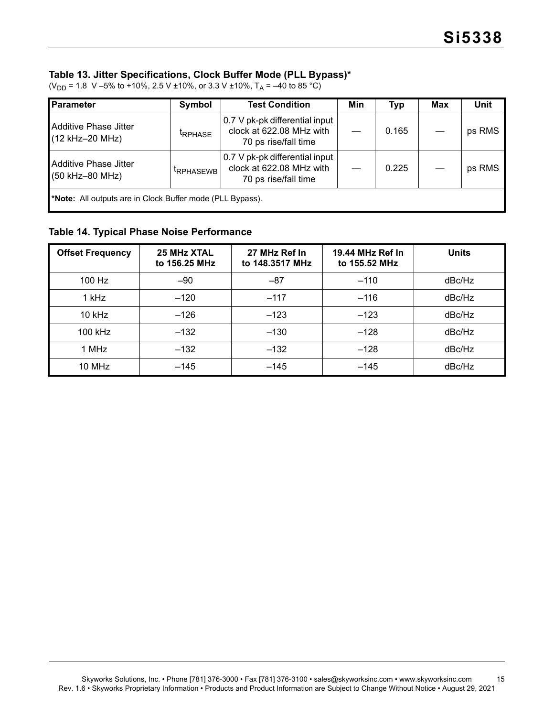#### <span id="page-14-0"></span>**Table 13. Jitter Specifications, Clock Buffer Mode (PLL Bypass)\***

| Parameter                                                                                                                                          | Symbol              | <b>Test Condition</b>                                                              | Min   | <b>Typ</b> | Max    | <b>Unit</b> |  |  |
|----------------------------------------------------------------------------------------------------------------------------------------------------|---------------------|------------------------------------------------------------------------------------|-------|------------|--------|-------------|--|--|
| Additive Phase Jitter<br>(12 kHz-20 MHz)                                                                                                           | <sup>t</sup> RPHASE | 0.7 V pk-pk differential input<br>clock at 622.08 MHz with<br>70 ps rise/fall time |       | 0.165      |        | ps RMS      |  |  |
| 0.7 V pk-pk differential input<br>Additive Phase Jitter<br>clock at 622.08 MHz with<br><b>IRPHASEWB</b><br>(50 kHz-80 MHz)<br>70 ps rise/fall time |                     |                                                                                    | 0.225 |            | ps RMS |             |  |  |
| *Note: All outputs are in Clock Buffer mode (PLL Bypass).                                                                                          |                     |                                                                                    |       |            |        |             |  |  |

(V<sub>DD</sub> = 1.8 V –5% to +10%, 2.5 V ±10%, or 3.3 V ±10%, T<sub>A</sub> = –40 to 85 °C)

### **Table 14. Typical Phase Noise Performance**

| <b>Offset Frequency</b> | 25 MHz XTAL<br>to 156.25 MHz | 27 MHz Ref In<br>to 148.3517 MHz | 19.44 MHz Ref In<br>to 155.52 MHz | <b>Units</b> |
|-------------------------|------------------------------|----------------------------------|-----------------------------------|--------------|
| $100$ Hz                | $-90$                        | $-87$                            | $-110$                            | dBc/Hz       |
| 1 kHz                   | $-120$                       | $-117$                           | $-116$                            | dBc/Hz       |
| $10$ kHz                | $-126$                       | $-123$                           | $-123$                            | dBc/Hz       |
| $100$ kHz               | $-132$                       | $-130$                           | $-128$                            | dBc/Hz       |
| 1 MHz                   | $-132$                       | $-132$                           | $-128$                            | dBc/Hz       |
| 10 MHz                  | $-145$                       | $-145$                           | $-145$                            | dBc/Hz       |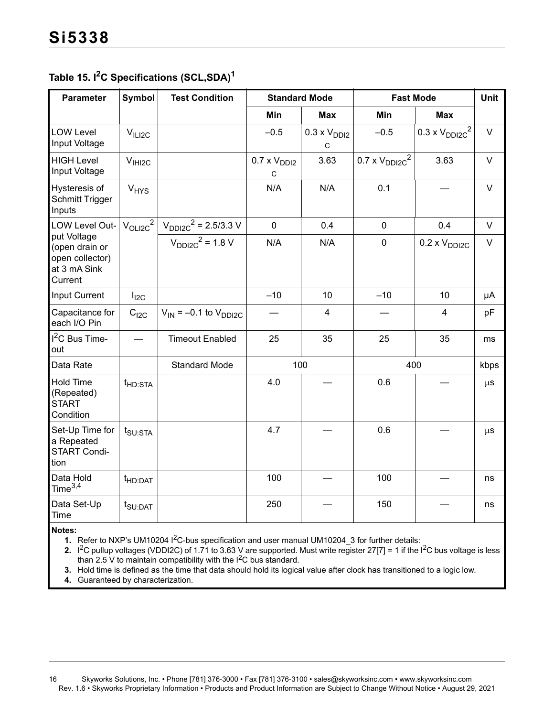## <span id="page-15-2"></span>**Table 15. I2C Specifications (SCL,SDA[\)1](#page-15-0)**

| <b>Parameter</b>                                                            | Symbol              | <b>Test Condition</b>          | <b>Standard Mode</b>       |                            |                          | <b>Fast Mode</b>         |         |  |  |
|-----------------------------------------------------------------------------|---------------------|--------------------------------|----------------------------|----------------------------|--------------------------|--------------------------|---------|--|--|
|                                                                             |                     |                                | Min                        | <b>Max</b>                 | Min                      | <b>Max</b>               |         |  |  |
| <b>LOW Level</b><br>Input Voltage                                           | V <sub>ILIZC</sub>  |                                | $-0.5$                     | $0.3 \times V_{DD12}$<br>C | $-0.5$                   | $0.3 \times V_{DDI2C}^2$ | $\vee$  |  |  |
| <b>HIGH Level</b><br>Input Voltage                                          | V <sub>IH12C</sub>  |                                | $0.7 \times V_{DD12}$<br>C | 3.63                       | $0.7 \times V_{DDI2C}^2$ | 3.63                     | $\vee$  |  |  |
| Hysteresis of<br><b>Schmitt Trigger</b><br>Inputs                           | $V_{HYS}$           |                                | N/A                        | N/A                        | 0.1                      |                          | $\vee$  |  |  |
| LOW Level Out-                                                              | $V_{OLIZC}^2$       | $V_{DDI2C}^2$ = 2.5/3.3 V      | $\mathbf 0$                | 0.4                        | $\mathbf 0$              | 0.4                      | $\vee$  |  |  |
| put Voltage<br>(open drain or<br>open collector)<br>at 3 mA Sink<br>Current |                     | $V_{DDI2C}^2$ = 1.8 V          | N/A                        | N/A                        | $\mathbf 0$              | $0.2 \times V_{DDI2C}$   | $\vee$  |  |  |
| <b>Input Current</b>                                                        | $I_{12C}$           |                                | $-10$                      | 10                         | $-10$                    | 10                       | μA      |  |  |
| Capacitance for<br>each I/O Pin                                             | C <sub>12C</sub>    | $V_{IN}$ = -0.1 to $V_{DDI2C}$ |                            | $\overline{4}$             |                          | $\overline{4}$           | pF      |  |  |
| $I2C$ Bus Time-<br>out                                                      |                     | <b>Timeout Enabled</b>         | 25                         | 35                         | 25                       | 35                       | ms      |  |  |
| Data Rate                                                                   |                     | <b>Standard Mode</b>           |                            | 100                        |                          | 400                      | kbps    |  |  |
| <b>Hold Time</b><br>(Repeated)<br><b>START</b><br>Condition                 | t <sub>HD:STA</sub> |                                | 4.0                        |                            | 0.6                      |                          | $\mu$ s |  |  |
| Set-Up Time for<br>a Repeated<br>START Condi-<br>tion                       | $t_{\text{SU:STA}}$ |                                | 4.7                        |                            | 0.6                      |                          | $\mu$ s |  |  |
| Data Hold<br>Time $3,4$                                                     | t <sub>HD:DAT</sub> |                                | 100                        |                            | 100                      |                          | ns      |  |  |
| Data Set-Up<br>Time                                                         | t <sub>SU:DAT</sub> |                                | 250                        |                            | 150                      |                          | ns      |  |  |

<span id="page-15-0"></span>**Notes:**

**1.** Refer to NXP's UM10204 I<sup>2</sup>C-bus specification and user manual UM10204\_3 for further details:

<span id="page-15-1"></span>2. I<sup>2</sup>C pullup voltages (VDDI2C) of 1.71 to 3.63 V are supported. Must write register 27[7] = 1 if the I<sup>2</sup>C bus voltage is less than 2.5 V to maintain compatibility with the  $1^2C$  bus standard.

**3.** Hold time is defined as the time that data should hold its logical value after clock has transitioned to a logic low.

**4.** Guaranteed by characterization.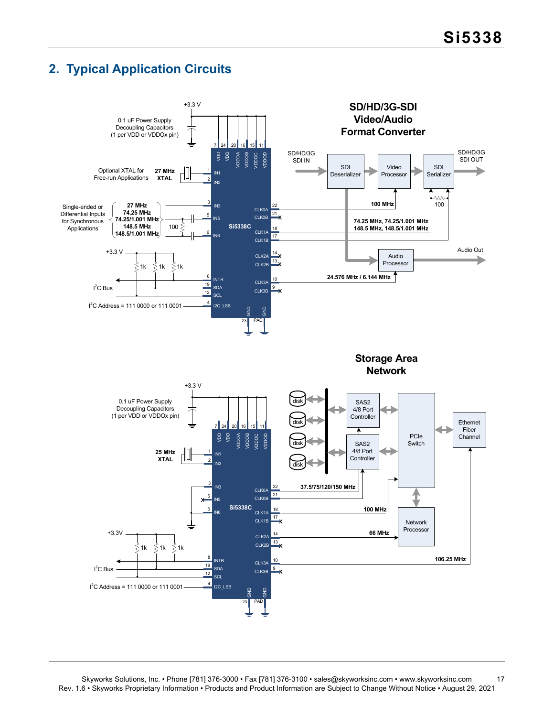## <span id="page-16-0"></span>**2. Typical Application Circuits**

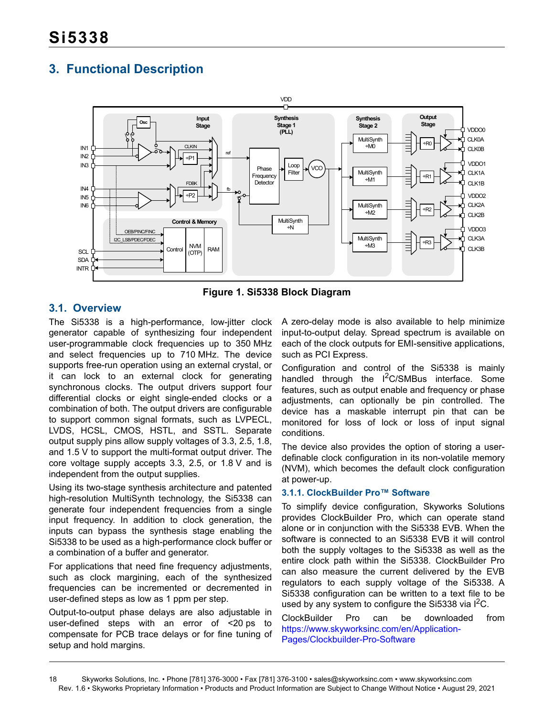## <span id="page-17-0"></span>**3. Functional Description**



**Figure 1. Si5338 Block Diagram**

## <span id="page-17-1"></span>**3.1. Overview**

The Si5338 is a high-performance, low-jitter clock generator capable of synthesizing four independent user-programmable clock frequencies up to 350 MHz and select frequencies up to 710 MHz. The device supports free-run operation using an external crystal, or it can lock to an external clock for generating synchronous clocks. The output drivers support four differential clocks or eight single-ended clocks or a combination of both. The output drivers are configurable to support common signal formats, such as LVPECL, LVDS, HCSL, CMOS, HSTL, and SSTL. Separate output supply pins allow supply voltages of 3.3, 2.5, 1.8, and 1.5 V to support the multi-format output driver. The core voltage supply accepts 3.3, 2.5, or 1.8 V and is independent from the output supplies.

Using its two-stage synthesis architecture and patented high-resolution MultiSynth technology, the Si5338 can generate four independent frequencies from a single input frequency. In addition to clock generation, the inputs can bypass the synthesis stage enabling the Si5338 to be used as a high-performance clock buffer or a combination of a buffer and generator.

For applications that need fine frequency adjustments, such as clock margining, each of the synthesized frequencies can be incremented or decremented in user-defined steps as low as 1 ppm per step.

Output-to-output phase delays are also adjustable in user-defined steps with an error of <20 ps to compensate for PCB trace delays or for fine tuning of setup and hold margins.

A zero-delay mode is also available to help minimize input-to-output delay. Spread spectrum is available on each of the clock outputs for EMI-sensitive applications, such as PCI Express.

Configuration and control of the Si5338 is mainly handled through the I<sup>2</sup>C/SMBus interface. Some features, such as output enable and frequency or phase adjustments, can optionally be pin controlled. The device has a maskable interrupt pin that can be monitored for loss of lock or loss of input signal conditions.

The device also provides the option of storing a userdefinable clock configuration in its non-volatile memory (NVM), which becomes the default clock configuration at power-up.

### <span id="page-17-2"></span>**3.1.1. ClockBuilder Pro™ Software**

To simplify device configuration, Skyworks Solutions provides ClockBuilder Pro, which can operate stand alone or in conjunction with the Si5338 EVB. When the software is connected to an Si5338 EVB it will control both the supply voltages to the Si5338 as well as the entire clock path within the Si5338. ClockBuilder Pro can also measure the current delivered by the EVB regulators to each supply voltage of the Si5338. A Si5338 configuration can be written to a text file to be used by any system to configure the Si5338 via  $I^2C$ .

ClockBuilder Pro can be downloaded from [https://www.skyworksinc.com/en/Application-](https://www.skyworksinc.com/en/Application-Pages/Clockbuilder-Pro-Software)[Pages/Clockbuilder-Pro-Software](https://www.skyworksinc.com/en/Application-Pages/Clockbuilder-Pro-Software)

<sup>18</sup> Skyworks Solutions, Inc. • Phone [781] 376-3000 • Fax [781] 376-3100 • sales@skyworksinc.com • www.skyworksinc.com Rev. 1.6 • Skyworks Proprietary Information • Products and Product Information are Subject to Change Without Notice • August 29, 2021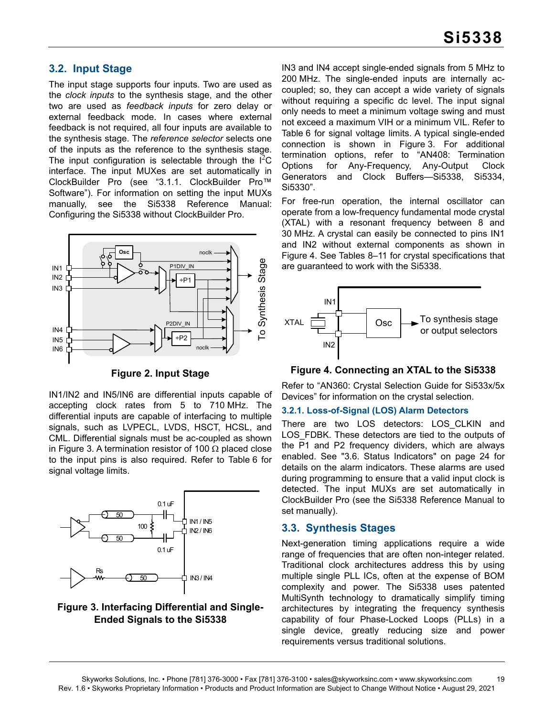### <span id="page-18-0"></span>**3.2. Input Stage**

The input stage supports four inputs. Two are used as the *clock inputs* to the synthesis stage, and the other two are used as *feedback inputs* for zero delay or external feedback mode. In cases where external feedback is not required, all four inputs are available to the synthesis stage. The *reference selector* selects one of the inputs as the reference to the synthesis stage. The input configuration is selectable through the  $I^2C$ interface. The input MUXes are set automatically in ClockBuilder Pro (see ["3.1.1. ClockBuilder Pro™](#page-17-2) [Software"\)](#page-17-2). For information on setting the input MUXs manually, see the Si5338 Reference Manual: Configuring the Si5338 without ClockBuilder Pro.



**Figure 2. Input Stage**

IN1/IN2 and IN5/IN6 are differential inputs capable of accepting clock rates from 5 to 710 MHz. The differential inputs are capable of interfacing to multiple signals, such as LVPECL, LVDS, HSCT, HCSL, and CML. Differential signals must be ac-coupled as shown in [Figure 3](#page-18-2). A termination resistor of 100  $\Omega$  placed close to the input pins is also required. Refer to [Table 6](#page-7-8) for signal voltage limits.



### <span id="page-18-2"></span>**Figure 3. Interfacing Differential and Single-Ended Signals to the Si5338**

IN3 and IN4 accept single-ended signals from 5 MHz to 200 MHz. The single-ended inputs are internally accoupled; so, they can accept a wide variety of signals without requiring a specific dc level. The input signal only needs to meet a minimum voltage swing and must not exceed a maximum VIH or a minimum VIL. Refer to [Table 6](#page-7-8) for signal voltage limits. A typical single-ended connection is shown in [Figure 3](#page-18-2). For additional termination options, refer to "AN408: Termination Options for Any-Frequency, Any-Output Clock Generators and Clock Buffers—Si5338, Si5334, Si5330".

For free-run operation, the internal oscillator can operate from a low-frequency fundamental mode crystal (XTAL) with a resonant frequency between 8 and 30 MHz. A crystal can easily be connected to pins IN1 and IN2 without external components as shown in [Figure 4](#page-18-3). See Tables [8](#page-10-0)–[11](#page-11-0) for crystal specifications that are guaranteed to work with the Si5338.



<span id="page-18-3"></span>**Figure 4. Connecting an XTAL to the Si5338**

Refer to "AN360: Crystal Selection Guide for Si533x/5x Devices" for information on the crystal selection.

#### <span id="page-18-4"></span>**3.2.1. Loss-of-Signal (LOS) Alarm Detectors**

There are two LOS detectors: LOS\_CLKIN and LOS\_FDBK. These detectors are tied to the outputs of the P1 and P2 frequency dividers, which are always enabled. See ["3.6. Status Indicators" on page 24](#page-23-0) for details on the alarm indicators. These alarms are used during programming to ensure that a valid input clock is detected. The input MUXs are set automatically in ClockBuilder Pro (see the Si5338 Reference Manual to set manually).

### <span id="page-18-1"></span>**3.3. Synthesis Stages**

Next-generation timing applications require a wide range of frequencies that are often non-integer related. Traditional clock architectures address this by using multiple single PLL ICs, often at the expense of BOM complexity and power. The Si5338 uses patented MultiSynth technology to dramatically simplify timing architectures by integrating the frequency synthesis capability of four Phase-Locked Loops (PLLs) in a single device, greatly reducing size and power requirements versus traditional solutions.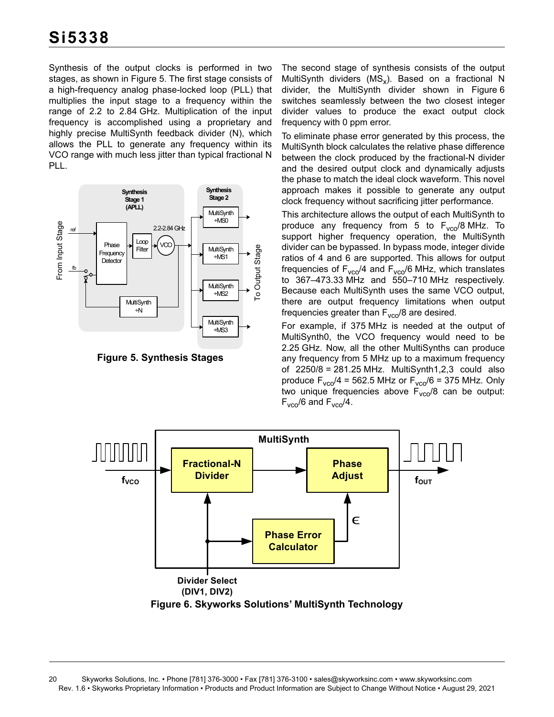Synthesis of the output clocks is performed in two stages, as shown in [Figure 5.](#page-19-0) The first stage consists of a high-frequency analog phase-locked loop (PLL) that multiplies the input stage to a frequency within the range of 2.2 to 2.84 GHz. Multiplication of the input frequency is accomplished using a proprietary and highly precise MultiSynth feedback divider (N), which allows the PLL to generate any frequency within its VCO range with much less jitter than typical fractional N PLL.



<span id="page-19-0"></span>**Figure 5. Synthesis Stages**

The second stage of synthesis consists of the output MultiSynth dividers ( $MS_x$ ). Based on a fractional N divider, the MultiSynth divider shown in [Figure 6](#page-19-1) switches seamlessly between the two closest integer divider values to produce the exact output clock frequency with 0 ppm error.

To eliminate phase error generated by this process, the MultiSynth block calculates the relative phase difference between the clock produced by the fractional-N divider and the desired output clock and dynamically adjusts the phase to match the ideal clock waveform. This novel approach makes it possible to generate any output clock frequency without sacrificing jitter performance.

This architecture allows the output of each MultiSynth to produce any frequency from 5 to  $F_{\text{vco}}/8$  MHz. To support higher frequency operation, the MultiSynth divider can be bypassed. In bypass mode, integer divide ratios of 4 and 6 are supported. This allows for output frequencies of  $F_{\text{vco}}/4$  and  $F_{\text{vco}}/6$  MHz, which translates to 367–473.33 MHz and 550–710 MHz respectively. Because each MultiSynth uses the same VCO output, there are output frequency limitations when output frequencies greater than  $F_{\text{vco}}/8$  are desired.

For example, if 375 MHz is needed at the output of MultiSynth0, the VCO frequency would need to be 2.25 GHz. Now, all the other MultiSynths can produce any frequency from 5 MHz up to a maximum frequency of 2250/8 = 281.25 MHz. MultiSynth1,2,3 could also produce  $F_{\text{vco}}/4$  = 562.5 MHz or  $F_{\text{vco}}/6$  = 375 MHz. Only two unique frequencies above  $F_{vco}/8$  can be output:  $F_{\text{vco}}/6$  and  $F_{\text{vco}}/4$ .



<span id="page-19-1"></span>20 Skyworks Solutions, Inc. • Phone [781] 376-3000 • Fax [781] 376-3100 • sales@skyworksinc.com • www.skyworksinc.com Rev. 1.6 • Skyworks Proprietary Information • Products and Product Information are Subject to Change Without Notice • August 29, 2021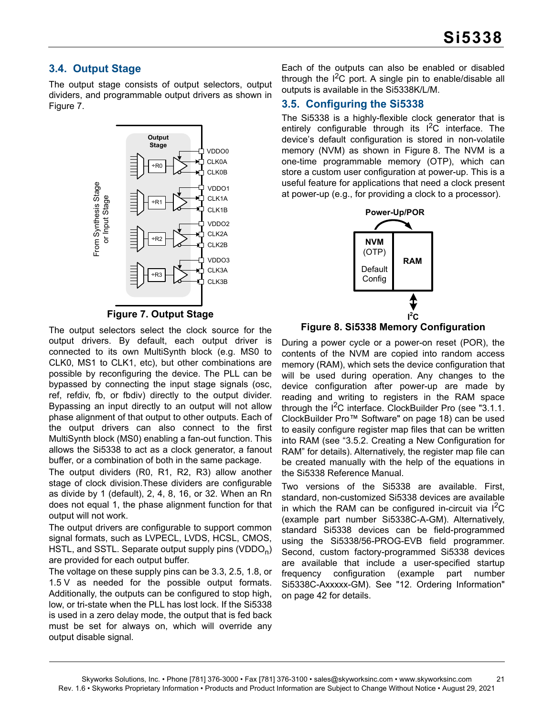## <span id="page-20-0"></span>**3.4. Output Stage**

The output stage consists of output selectors, output dividers, and programmable output drivers as shown in [Figure 7.](#page-20-2)



**Figure 7. Output Stage**

<span id="page-20-2"></span>The output selectors select the clock source for the output drivers. By default, each output driver is connected to its own MultiSynth block (e.g. MS0 to CLK0, MS1 to CLK1, etc), but other combinations are possible by reconfiguring the device. The PLL can be bypassed by connecting the input stage signals (osc, ref, refdiv, fb, or fbdiv) directly to the output divider. Bypassing an input directly to an output will not allow phase alignment of that output to other outputs. Each of the output drivers can also connect to the first MultiSynth block (MS0) enabling a fan-out function. This allows the Si5338 to act as a clock generator, a fanout buffer, or a combination of both in the same package.

The output dividers (R0, R1, R2, R3) allow another stage of clock division.These dividers are configurable as divide by 1 (default), 2, 4, 8, 16, or 32. When an Rn does not equal 1, the phase alignment function for that output will not work.

The output drivers are configurable to support common signal formats, such as LVPECL, LVDS, HCSL, CMOS, HSTL, and SSTL. Separate output supply pins (VDDO<sub>n</sub>) are provided for each output buffer.

The voltage on these supply pins can be 3.3, 2.5, 1.8, or 1.5 V as needed for the possible output formats. Additionally, the outputs can be configured to stop high, low, or tri-state when the PLL has lost lock. If the Si5338 is used in a zero delay mode, the output that is fed back must be set for always on, which will override any output disable signal.

Each of the outputs can also be enabled or disabled through the  $I^2C$  port. A single pin to enable/disable all outputs is available in the Si5338K/L/M.

## <span id="page-20-1"></span>**3.5. Configuring the Si5338**

The Si5338 is a highly-flexible clock generator that is entirely configurable through its  $I^2C$  interface. The device's default configuration is stored in non-volatile memory (NVM) as shown in [Figure 8](#page-20-3). The NVM is a one-time programmable memory (OTP), which can store a custom user configuration at power-up. This is a useful feature for applications that need a clock present at power-up (e.g., for providing a clock to a processor).



<span id="page-20-3"></span>

During a power cycle or a power-on reset (POR), the contents of the NVM are copied into random access memory (RAM), which sets the device configuration that will be used during operation. Any changes to the device configuration after power-up are made by reading and writing to registers in the RAM space through the  $1^2C$  interface. ClockBuilder Pro (see ["3.1.1.](#page-17-2) [ClockBuilder Pro™ Software" on page 18](#page-17-2)) can be used to easily configure register map files that can be written into RAM (see ["3.5.2. Creating a New Configuration for](#page-21-0) [RAM"](#page-21-0) for details). Alternatively, the register map file can be created manually with the help of the equations in the Si5338 Reference Manual.

Two versions of the Si5338 are available. First, standard, non-customized Si5338 devices are available in which the RAM can be configured in-circuit via  $1^2C$ (example part number Si5338C-A-GM). Alternatively, standard Si5338 devices can be field-programmed using the Si5338/56-PROG-EVB field programmer. Second, custom factory-programmed Si5338 devices are available that include a user-specified startup frequency configuration (example part number Si5338C-Axxxxx-GM). See ["12. Ordering Information"](#page-41-0) [on page 42](#page-41-0) for details.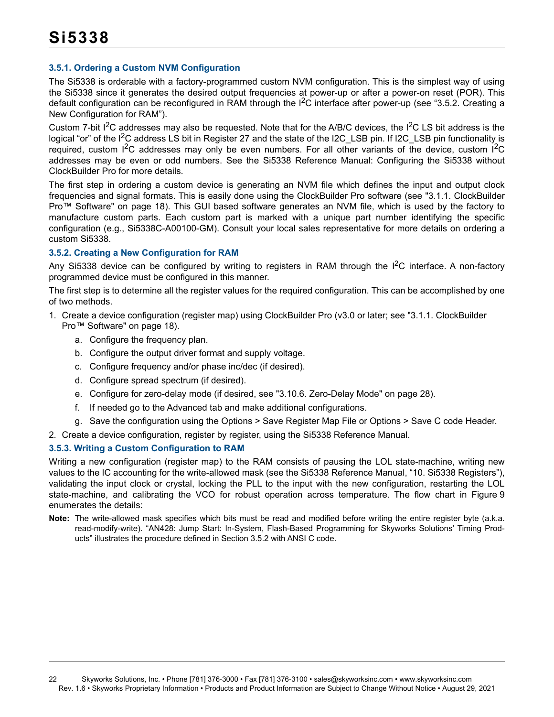#### **3.5.1. Ordering a Custom NVM Configuration**

The Si5338 is orderable with a factory-programmed custom NVM configuration. This is the simplest way of using the Si5338 since it generates the desired output frequencies at power-up or after a power-on reset (POR). This default configuration can be reconfigured in RAM through the  $I^2C$  interface after power-up (see ["3.5.2. Creating a](#page-21-0) [New Configuration for RAM"\)](#page-21-0).

Custom 7-bit  $I^2C$  addresses may also be requested. Note that for the A/B/C devices, the  $I^2C$  LS bit address is the logical "or" of the I<sup>2</sup>C address LS bit in Register 27 and the state of the I2C\_LSB pin. If I2C\_LSB pin functionality is required, custom  $1^2C$  addresses may only be even numbers. For all other variants of the device, custom  $1^2C$ addresses may be even or odd numbers. See the Si5338 Reference Manual: Configuring the Si5338 without ClockBuilder Pro for more details.

The first step in ordering a custom device is generating an NVM file which defines the input and output clock frequencies and signal formats. This is easily done using the ClockBuilder Pro software (see ["3.1.1. ClockBuilder](#page-17-2) [Pro™ Software" on page 18](#page-17-2)). This GUI based software generates an NVM file, which is used by the factory to manufacture custom parts. Each custom part is marked with a unique part number identifying the specific configuration (e.g., Si5338C-A00100-GM). Consult your local sales representative for more details on ordering a custom Si5338.

#### <span id="page-21-0"></span>**3.5.2. Creating a New Configuration for RAM**

Any Si5338 device can be configured by writing to registers in RAM through the  $1<sup>2</sup>C$  interface. A non-factory programmed device must be configured in this manner.

The first step is to determine all the register values for the required configuration. This can be accomplished by one of two methods.

- 1. Create a device configuration (register map) using ClockBuilder Pro (v3.0 or later; see ["3.1.1. ClockBuilder](#page-17-2)  [Pro™ Software" on page 18](#page-17-2)).
	- a. Configure the frequency plan.
	- b. Configure the output driver format and supply voltage.
	- c. Configure frequency and/or phase inc/dec (if desired).
	- d. Configure spread spectrum (if desired).
	- e. Configure for zero-delay mode (if desired, see ["3.10.6. Zero-Delay Mode" on page 28\)](#page-27-0).
	- f. If needed go to the Advanced tab and make additional configurations.
	- g. Save the configuration using the Options > Save Register Map File or Options > Save C code Header.
- 2. Create a device configuration, register by register, using the Si5338 Reference Manual.

#### **3.5.3. Writing a Custom Configuration to RAM**

Writing a new configuration (register map) to the RAM consists of pausing the LOL state-machine, writing new values to the IC accounting for the write-allowed mask (see the Si5338 Reference Manual, "10. Si5338 Registers"), validating the input clock or crystal, locking the PLL to the input with the new configuration, restarting the LOL state-machine, and calibrating the VCO for robust operation across temperature. The flow chart in [Figure 9](#page-22-0) enumerates the details:

**Note:** The write-allowed mask specifies which bits must be read and modified before writing the entire register byte (a.k.a. read-modify-write). "AN428: Jump Start: In-System, Flash-Based Programming for Skyworks Solutions' Timing Products" illustrates the procedure defined in Section [3.5.2](#page-21-0) with ANSI C code.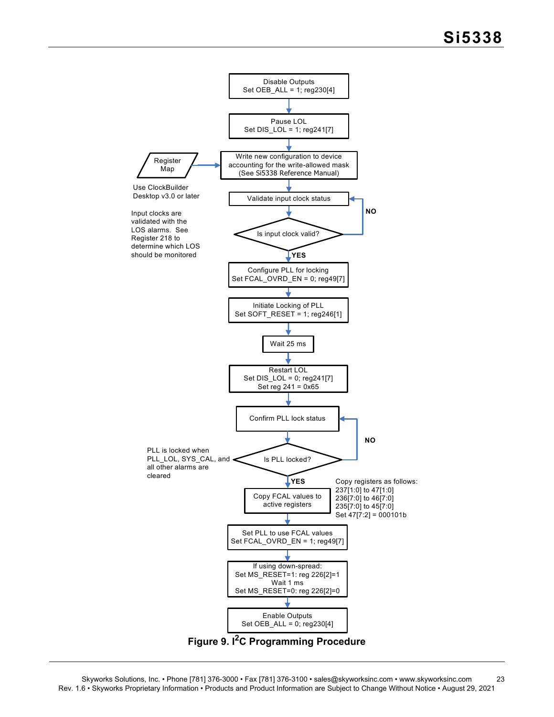<span id="page-22-0"></span>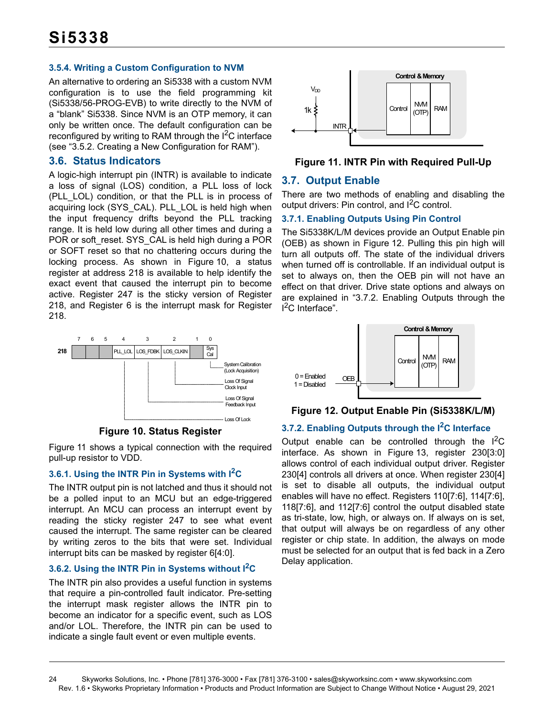#### **3.5.4. Writing a Custom Configuration to NVM**

An alternative to ordering an Si5338 with a custom NVM configuration is to use the field programming kit (Si5338/56-PROG-EVB) to write directly to the NVM of a "blank" Si5338. Since NVM is an OTP memory, it can only be written once. The default configuration can be reconfigured by writing to RAM through the  $I^2C$  interface (see ["3.5.2. Creating a New Configuration for RAM"](#page-21-0)).

#### <span id="page-23-0"></span>**3.6. Status Indicators**

A logic-high interrupt pin (INTR) is available to indicate a loss of signal (LOS) condition, a PLL loss of lock (PLL\_LOL) condition, or that the PLL is in process of acquiring lock (SYS\_CAL). PLL\_LOL is held high when the input frequency drifts beyond the PLL tracking range. It is held low during all other times and during a POR or soft\_reset. SYS\_CAL is held high during a POR or SOFT reset so that no chattering occurs during the locking process. As shown in [Figure 10](#page-23-2), a status register at address 218 is available to help identify the exact event that caused the interrupt pin to become active. Register 247 is the sticky version of Register 218, and Register 6 is the interrupt mask for Register 218.



**Figure 10. Status Register**

<span id="page-23-2"></span>[Figure 11](#page-23-3) shows a typical connection with the required pull-up resistor to VDD.

#### **3.6.1. Using the INTR Pin in Systems with I2C**

The INTR output pin is not latched and thus it should not be a polled input to an MCU but an edge-triggered interrupt. An MCU can process an interrupt event by reading the sticky register 247 to see what event caused the interrupt. The same register can be cleared by writing zeros to the bits that were set. Individual interrupt bits can be masked by register 6[4:0].

#### **3.6.2. Using the INTR Pin in Systems without I2C**

The INTR pin also provides a useful function in systems that require a pin-controlled fault indicator. Pre-setting the interrupt mask register allows the INTR pin to become an indicator for a specific event, such as LOS and/or LOL. Therefore, the INTR pin can be used to indicate a single fault event or even multiple events.



<span id="page-23-3"></span>**Figure 11. INTR Pin with Required Pull-Up**

### <span id="page-23-1"></span>**3.7. Output Enable**

There are two methods of enabling and disabling the output drivers: Pin control, and  $I^2C$  control.

#### **3.7.1. Enabling Outputs Using Pin Control**

The Si5338K/L/M devices provide an Output Enable pin (OEB) as shown in [Figure 12](#page-23-4). Pulling this pin high will turn all outputs off. The state of the individual drivers when turned off is controllable. If an individual output is set to always on, then the OEB pin will not have an effect on that driver. Drive state options and always on are explained in ["3.7.2. Enabling Outputs through the](#page-23-5) <sup>2</sup>C Interface".



<span id="page-23-4"></span>**Figure 12. Output Enable Pin (Si5338K/L/M)**

### <span id="page-23-5"></span>**3.7.2. Enabling Outputs through the I2C Interface**

Output enable can be controlled through the  $I^2C$ interface. As shown in [Figure 13](#page-24-1), register 230[3:0] allows control of each individual output driver. Register 230[4] controls all drivers at once. When register 230[4] is set to disable all outputs, the individual output enables will have no effect. Registers 110[7:6], 114[7:6], 118[7:6], and 112[7:6] control the output disabled state as tri-state, low, high, or always on. If always on is set, that output will always be on regardless of any other register or chip state. In addition, the always on mode must be selected for an output that is fed back in a Zero Delay application.

<sup>24</sup> Skyworks Solutions, Inc. • Phone [781] 376-3000 • Fax [781] 376-3100 • sales@skyworksinc.com • www.skyworksinc.com Rev. 1.6 • Skyworks Proprietary Information • Products and Product Information are Subject to Change Without Notice • August 29, 2021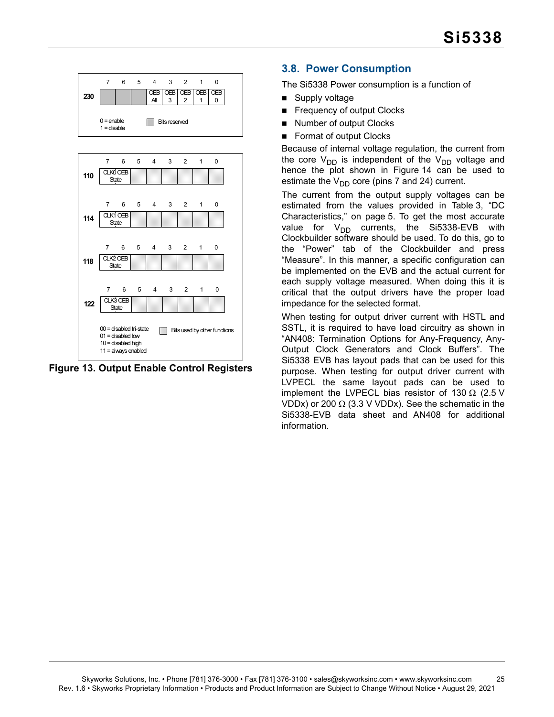



<span id="page-24-1"></span>**Figure 13. Output Enable Control Registers**

## <span id="page-24-0"></span>**3.8. Power Consumption**

The Si5338 Power consumption is a function of

- Supply voltage
- Frequency of output Clocks
- Number of output Clocks
- Format of output Clocks

Because of internal voltage regulation, the current from the core  $V_{DD}$  is independent of the  $V_{DD}$  voltage and hence the plot shown in [Figure 14](#page-25-0) can be used to estimate the  $V_{DD}$  core (pins 7 and 24) current.

The current from the output supply voltages can be estimated from the values provided in [Table 3, "DC](#page-4-2) [Characteristics," on page 5](#page-4-2). To get the most accurate value for  $V_{DD}$  currents, the Si5338-EVB with Clockbuilder software should be used. To do this, go to the "Power" tab of the Clockbuilder and press "Measure". In this manner, a specific configuration can be implemented on the EVB and the actual current for each supply voltage measured. When doing this it is critical that the output drivers have the proper load impedance for the selected format.

When testing for output driver current with HSTL and SSTL, it is required to have load circuitry as shown in "AN408: Termination Options for Any-Frequency, Any-Output Clock Generators and Clock Buffers". The Si5338 EVB has layout pads that can be used for this purpose. When testing for output driver current with LVPECL the same layout pads can be used to implement the LVPECL bias resistor of 130  $\Omega$  (2.5 V VDDx) or 200  $\Omega$  (3.3 V VDDx). See the schematic in the Si5338-EVB data sheet and AN408 for additional information.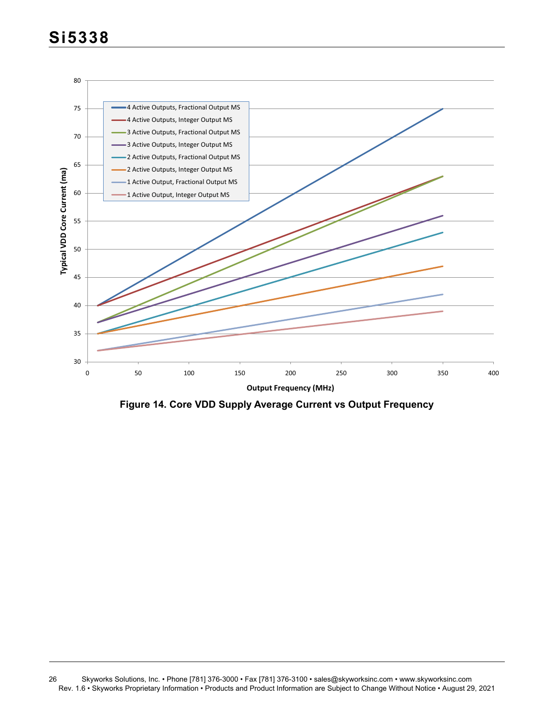

<span id="page-25-0"></span>**Figure 14. Core VDD Supply Average Current vs Output Frequency**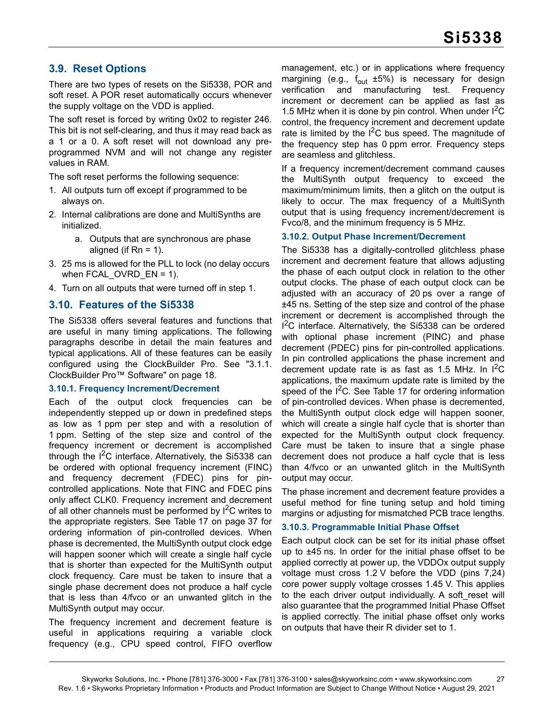## <span id="page-26-0"></span>**3.9. Reset Options**

There are two types of resets on the Si5338, POR and soft reset. A POR reset automatically occurs whenever the supply voltage on the VDD is applied.

The soft reset is forced by writing 0x02 to register 246. This bit is not self-clearing, and thus it may read back as a 1 or a 0. A soft reset will not download any preprogrammed NVM and will not change any register values in RAM.

The soft reset performs the following sequence:

- 1. All outputs turn off except if programmed to be always on.
- 2. Internal calibrations are done and MultiSynths are initialized.
	- a. Outputs that are synchronous are phase aligned (if  $Rn = 1$ ).
- 3. 25 ms is allowed for the PLL to lock (no delay occurs when FCAL OVRD  $EN = 1$ ).
- 4. Turn on all outputs that were turned off in step 1.

#### <span id="page-26-1"></span>**3.10. Features of the Si5338**

The Si5338 offers several features and functions that are useful in many timing applications. The following paragraphs describe in detail the main features and typical applications. All of these features can be easily configured using the ClockBuilder Pro. See ["3.1.1.](#page-17-2) [ClockBuilder Pro™ Software" on page 18.](#page-17-2)

#### <span id="page-26-4"></span>**3.10.1. Frequency Increment/Decrement**

Each of the output clock frequencies can be independently stepped up or down in predefined steps as low as 1 ppm per step and with a resolution of 1 ppm. Setting of the step size and control of the frequency increment or decrement is accomplished through the  $I^2C$  interface. Alternatively, the Si5338 can be ordered with optional frequency increment (FINC) and frequency decrement (FDEC) pins for pincontrolled applications. Note that FINC and FDEC pins only affect CLK0. Frequency increment and decrement of all other channels must be performed by  $I^2C$  writes to the appropriate registers. See [Table 17 on page 37](#page-36-1) for ordering information of pin-controlled devices. When phase is decremented, the MultiSynth output clock edge will happen sooner which will create a single half cycle that is shorter than expected for the MultiSynth output clock frequency. Care must be taken to insure that a single phase decrement does not produce a half cycle that is less than 4/fvco or an unwanted glitch in the MultiSynth output may occur.

The frequency increment and decrement feature is useful in applications requiring a variable clock frequency (e.g., CPU speed control, FIFO overflow

management, etc.) or in applications where frequency margining (e.g.,  $f_{\text{out}}$  ±5%) is necessary for design verification and manufacturing test. Frequency verification and manufacturing increment or decrement can be applied as fast as 1.5 MHz when it is done by pin control. When under  ${}^{12}C$ control, the frequency increment and decrement update rate is limited by the  $I^2C$  bus speed. The magnitude of the frequency step has 0 ppm error. Frequency steps are seamless and glitchless.

If a frequency increment/decrement command causes the MultiSynth output frequency to exceed the maximum/minimum limits, then a glitch on the output is likely to occur. The max frequency of a MultiSynth output that is using frequency increment/decrement is Fvco/8, and the minimum frequency is 5 MHz.

#### <span id="page-26-3"></span>**3.10.2. Output Phase Increment/Decrement**

The Si5338 has a digitally-controlled glitchless phase increment and decrement feature that allows adjusting the phase of each output clock in relation to the other output clocks. The phase of each output clock can be adjusted with an accuracy of 20 ps over a range of ±45 ns. Setting of the step size and control of the phase increment or decrement is accomplished through the <sup>2</sup>C interface. Alternatively, the Si5338 can be ordered with optional phase increment (PINC) and phase decrement (PDEC) pins for pin-controlled applications. In pin controlled applications the phase increment and decrement update rate is as fast as  $1.5$  MHz. In  $I^2C$ applications, the maximum update rate is limited by the speed of the  $I<sup>2</sup>C$ . See [Table 17](#page-36-1) for ordering information of pin-controlled devices. When phase is decremented, the MultiSynth output clock edge will happen sooner, which will create a single half cycle that is shorter than expected for the MultiSynth output clock frequency. Care must be taken to insure that a single phase decrement does not produce a half cycle that is less than 4/fvco or an unwanted glitch in the MultiSynth output may occur.

The phase increment and decrement feature provides a useful method for fine tuning setup and hold timing margins or adjusting for mismatched PCB trace lengths.

#### <span id="page-26-2"></span>**3.10.3. Programmable Initial Phase Offset**

Each output clock can be set for its initial phase offset up to ±45 ns. In order for the initial phase offset to be applied correctly at power up, the VDDOx output supply voltage must cross 1.2 V before the VDD (pins 7,24) core power supply voltage crosses 1.45 V. This applies to the each driver output individually. A soft reset will also guarantee that the programmed Initial Phase Offset is applied correctly. The initial phase offset only works on outputs that have their R divider set to 1.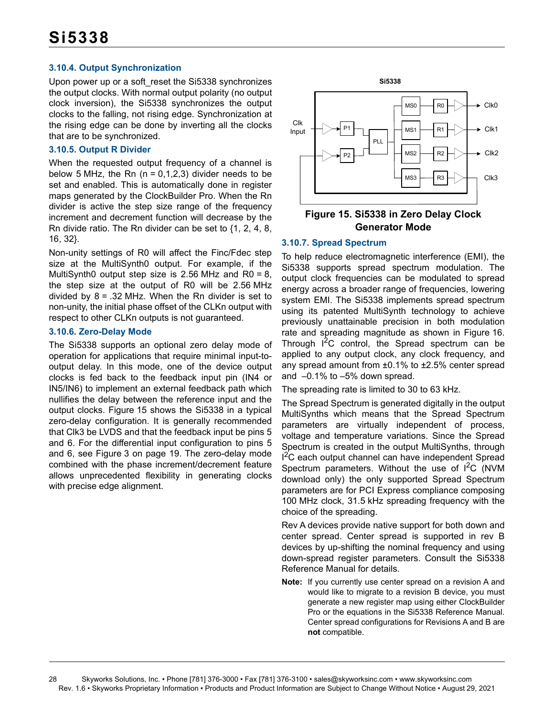#### **3.10.4. Output Synchronization**

Upon power up or a soft\_reset the Si5338 synchronizes the output clocks. With normal output polarity (no output clock inversion), the Si5338 synchronizes the output clocks to the falling, not rising edge. Synchronization at the rising edge can be done by inverting all the clocks that are to be synchronized.

#### **3.10.5. Output R Divider**

When the requested output frequency of a channel is below 5 MHz, the Rn  $(n = 0, 1, 2, 3)$  divider needs to be set and enabled. This is automatically done in register maps generated by the ClockBuilder Pro. When the Rn divider is active the step size range of the frequency increment and decrement function will decrease by the Rn divide ratio. The Rn divider can be set to {1, 2, 4, 8, 16, 32}.

Non-unity settings of R0 will affect the Finc/Fdec step size at the MultiSynth0 output. For example, if the MultiSynth0 output step size is 2.56 MHz and R0 = 8, the step size at the output of R0 will be 2.56 MHz divided by  $8 = .32$  MHz. When the Rn divider is set to non-unity, the initial phase offset of the CLKn output with respect to other CLKn outputs is not guaranteed.

#### <span id="page-27-0"></span>**3.10.6. Zero-Delay Mode**

The Si5338 supports an optional zero delay mode of operation for applications that require minimal input-tooutput delay. In this mode, one of the device output clocks is fed back to the feedback input pin (IN4 or IN5/IN6) to implement an external feedback path which nullifies the delay between the reference input and the output clocks. [Figure 15](#page-27-1) shows the Si5338 in a typical zero-delay configuration. It is generally recommended that Clk3 be LVDS and that the feedback input be pins 5 and 6. For the differential input configuration to pins 5 and 6, see [Figure 3 on page 19](#page-18-2). The zero-delay mode combined with the phase increment/decrement feature allows unprecedented flexibility in generating clocks with precise edge alignment.



#### <span id="page-27-1"></span>**Figure 15. Si5338 in Zero Delay Clock Generator Mode**

#### **3.10.7. Spread Spectrum**

To help reduce electromagnetic interference (EMI), the Si5338 supports spread spectrum modulation. The output clock frequencies can be modulated to spread energy across a broader range of frequencies, lowering system EMI. The Si5338 implements spread spectrum using its patented MultiSynth technology to achieve previously unattainable precision in both modulation rate and spreading magnitude as shown in [Figure 16](#page-28-2). Through  $I^2C$  control, the Spread spectrum can be applied to any output clock, any clock frequency, and any spread amount from ±0.1% to ±2.5% center spread and –0.1% to –5% down spread.

The spreading rate is limited to 30 to 63 kHz.

The Spread Spectrum is generated digitally in the output MultiSynths which means that the Spread Spectrum parameters are virtually independent of process, voltage and temperature variations. Since the Spread Spectrum is created in the output MultiSynths, through <sup>2</sup>C each output channel can have independent Spread Spectrum parameters. Without the use of  $I^2C$  (NVM download only) the only supported Spread Spectrum parameters are for PCI Express compliance composing 100 MHz clock, 31.5 kHz spreading frequency with the choice of the spreading.

Rev A devices provide native support for both down and center spread. Center spread is supported in rev B devices by up-shifting the nominal frequency and using down-spread register parameters. Consult the Si5338 Reference Manual for details.

**Note:** If you currently use center spread on a revision A and would like to migrate to a revision B device, you must generate a new register map using either ClockBuilder Pro or the equations in the Si5338 Reference Manual. Center spread configurations for Revisions A and B are **not** compatible.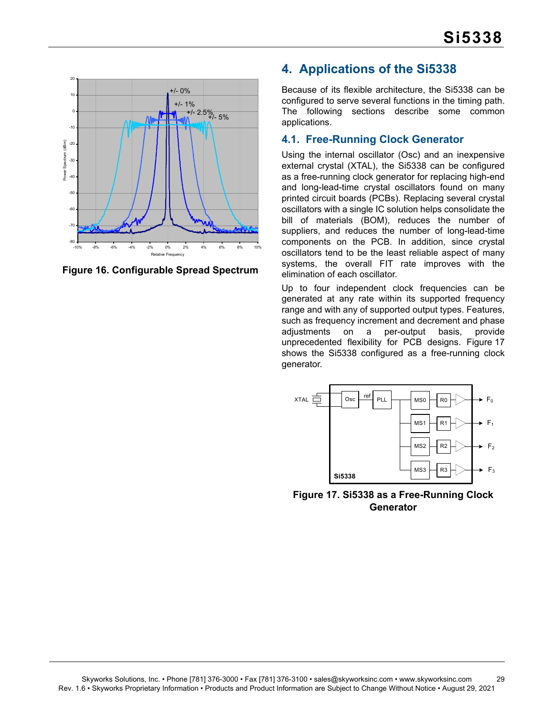

<span id="page-28-2"></span>**Figure 16. Configurable Spread Spectrum**

## <span id="page-28-0"></span>**4. Applications of the Si5338**

Because of its flexible architecture, the Si5338 can be configured to serve several functions in the timing path. The following sections describe some common applications.

## <span id="page-28-1"></span>**4.1. Free-Running Clock Generator**

Using the internal oscillator (Osc) and an inexpensive external crystal (XTAL), the Si5338 can be configured as a free-running clock generator for replacing high-end and long-lead-time crystal oscillators found on many printed circuit boards (PCBs). Replacing several crystal oscillators with a single IC solution helps consolidate the bill of materials (BOM), reduces the number of suppliers, and reduces the number of long-lead-time components on the PCB. In addition, since crystal oscillators tend to be the least reliable aspect of many systems, the overall FIT rate improves with the elimination of each oscillator.

Up to four independent clock frequencies can be generated at any rate within its supported frequency range and with any of supported output types. Features, such as frequency increment and decrement and phase adjustments on a per-output basis, provide unprecedented flexibility for PCB designs. [Figure 17](#page-28-3) shows the Si5338 configured as a free-running clock generator.



<span id="page-28-3"></span>**Figure 17. Si5338 as a Free-Running Clock Generator**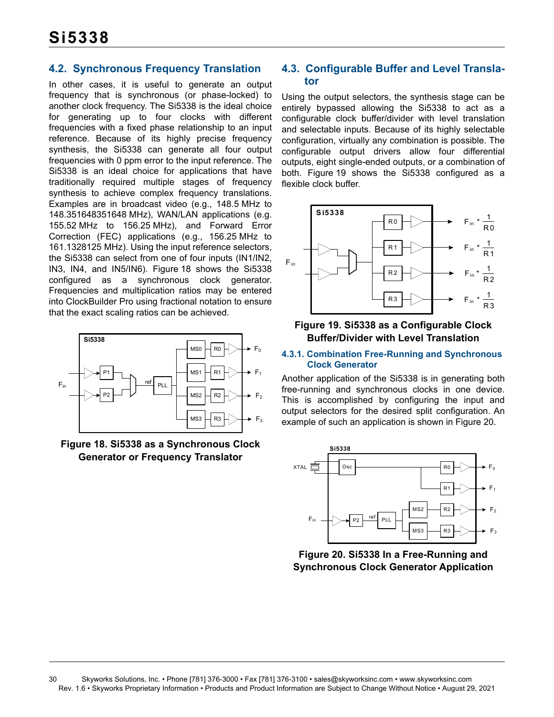### <span id="page-29-0"></span>**4.2. Synchronous Frequency Translation**

In other cases, it is useful to generate an output frequency that is synchronous (or phase-locked) to another clock frequency. The Si5338 is the ideal choice for generating up to four clocks with different frequencies with a fixed phase relationship to an input reference. Because of its highly precise frequency synthesis, the Si5338 can generate all four output frequencies with 0 ppm error to the input reference. The Si5338 is an ideal choice for applications that have traditionally required multiple stages of frequency synthesis to achieve complex frequency translations. Examples are in broadcast video (e.g., 148.5 MHz to 148.351648351648 MHz), WAN/LAN applications (e.g. 155.52 MHz to 156.25 MHz), and Forward Error Correction (FEC) applications (e.g., 156.25 MHz to 161.1328125 MHz). Using the input reference selectors, the Si5338 can select from one of four inputs (IN1/IN2, IN3, IN4, and IN5/IN6). [Figure 18](#page-29-2) shows the Si5338 configured as a synchronous clock generator. Frequencies and multiplication ratios may be entered into ClockBuilder Pro using fractional notation to ensure that the exact scaling ratios can be achieved.



<span id="page-29-2"></span>**Figure 18. Si5338 as a Synchronous Clock Generator or Frequency Translator**

### <span id="page-29-1"></span>**4.3. Configurable Buffer and Level Translator**

Using the output selectors, the synthesis stage can be entirely bypassed allowing the Si5338 to act as a configurable clock buffer/divider with level translation and selectable inputs. Because of its highly selectable configuration, virtually any combination is possible. The configurable output drivers allow four differential outputs, eight single-ended outputs, or a combination of both. [Figure 19](#page-29-3) shows the Si5338 configured as a flexible clock buffer.



#### <span id="page-29-3"></span>**Figure 19. Si5338 as a Configurable Clock Buffer/Divider with Level Translation**

#### **4.3.1. Combination Free-Running and Synchronous Clock Generator**

Another application of the Si5338 is in generating both free-running and synchronous clocks in one device. This is accomplished by configuring the input and output selectors for the desired split configuration. An example of such an application is shown in [Figure 20.](#page-29-4)



<span id="page-29-4"></span>**Figure 20. Si5338 In a Free-Running and Synchronous Clock Generator Application**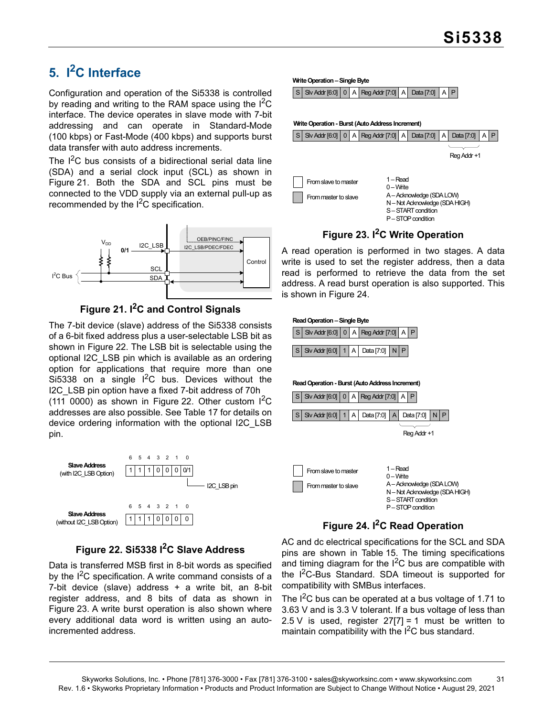## <span id="page-30-0"></span>**5. I2C Interface**

Configuration and operation of the Si5338 is controlled by reading and writing to the RAM space using the  $I^2C$ interface. The device operates in slave mode with 7-bit addressing and can operate in Standard-Mode (100 kbps) or Fast-Mode (400 kbps) and supports burst data transfer with auto address increments.

The  $I^2C$  bus consists of a bidirectional serial data line (SDA) and a serial clock input (SCL) as shown in [Figure 21](#page-30-1). Both the SDA and SCL pins must be connected to the VDD supply via an external pull-up as recommended by the  $I<sup>2</sup>C$  specification.



## **Figure 21. I2C and Control Signals**

<span id="page-30-1"></span>The 7-bit device (slave) address of the Si5338 consists of a 6-bit fixed address plus a user-selectable LSB bit as shown in [Figure 22](#page-30-2). The LSB bit is selectable using the optional I2C\_LSB pin which is available as an ordering option for applications that require more than one Si5338 on a single  $I^2C$  bus. Devices without the I2C\_LSB pin option have a fixed 7-bit address of 70h  $(111 0000)$  as shown in [Figure 22.](#page-30-2) Other custom  $\overline{P}C$ addresses are also possible. See [Table 17](#page-36-1) for details on device ordering information with the optional I2C\_LSB pin.



## **Figure 22. Si5338 I2C Slave Address**

<span id="page-30-2"></span>Data is transferred MSB first in 8-bit words as specified by the I<sup>2</sup>C specification. A write command consists of a 7-bit device (slave) address  $+$  a write bit, an 8-bit register address, and 8 bits of data as shown in [Figure 23](#page-30-3). A write burst operation is also shown where every additional data word is written using an autoincremented address.

**Write Operation – Single Byte**

 $|S|$  Slv Addr [6:0]  $|O|A|$  Reg Addr [7:0]  $|A|$  Data [7:0]



## **Figure 23. I2C Write Operation**

<span id="page-30-3"></span>A read operation is performed in two stages. A data write is used to set the register address, then a data read is performed to retrieve the data from the set address. A read burst operation is also supported. This is shown in [Figure 24.](#page-30-4)



## **Figure 24. I2C Read Operation**

<span id="page-30-4"></span>AC and dc electrical specifications for the SCL and SDA pins are shown in [Table 15.](#page-15-2) The timing specifications and timing diagram for the  $I^2C$  bus are compatible with the I<sup>2</sup>C-Bus Standard. SDA timeout is supported for compatibility with SMBus interfaces.

The  $I^2C$  bus can be operated at a bus voltage of 1.71 to 3.63 V and is 3.3 V tolerant. If a bus voltage of less than 2.5 V is used, register  $27[7] = 1$  must be written to maintain compatibility with the  $I^2C$  bus standard.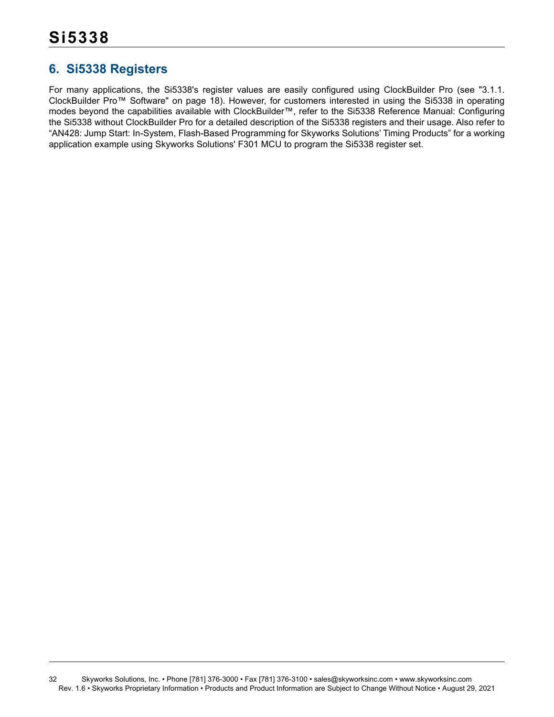## <span id="page-31-0"></span>**6. Si5338 Registers**

For many applications, the Si5338's register values are easily configured using ClockBuilder Pro (see ["3.1.1.](#page-17-2) [ClockBuilder Pro™ Software" on page 18\)](#page-17-2). However, for customers interested in using the Si5338 in operating modes beyond the capabilities available with ClockBuilder™, refer to the Si5338 Reference Manual: Configuring the Si5338 without ClockBuilder Pro for a detailed description of the Si5338 registers and their usage. Also refer to "AN428: Jump Start: In-System, Flash-Based Programming for Skyworks Solutions' Timing Products" for a working application example using Skyworks Solutions' F301 MCU to program the Si5338 register set.

32 Skyworks Solutions, Inc. • Phone [781] 376-3000 • Fax [781] 376-3100 • sales@skyworksinc.com • www.skyworksinc.com Rev. 1.6 • Skyworks Proprietary Information • Products and Product Information are Subject to Change Without Notice • August 29, 2021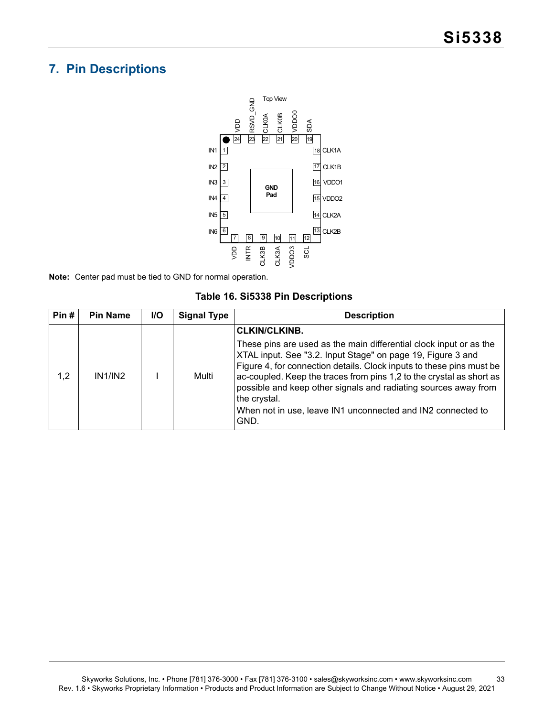## <span id="page-32-0"></span>**7. Pin Descriptions**



**Note:** Center pad must be tied to GND for normal operation.

|  |  |  | Table 16. Si5338 Pin Descriptions |
|--|--|--|-----------------------------------|
|--|--|--|-----------------------------------|

| Pin# | <b>Pin Name</b> | <b>I/O</b> | <b>Signal Type</b> | <b>Description</b>                                                                                                                                                                                                                                                                                                                                                                                                                          |
|------|-----------------|------------|--------------------|---------------------------------------------------------------------------------------------------------------------------------------------------------------------------------------------------------------------------------------------------------------------------------------------------------------------------------------------------------------------------------------------------------------------------------------------|
|      |                 |            |                    | <b>CLKIN/CLKINB.</b>                                                                                                                                                                                                                                                                                                                                                                                                                        |
| 1.2  | IN1/IN2         |            | Multi              | These pins are used as the main differential clock input or as the<br>XTAL input. See "3.2. Input Stage" on page 19, Figure 3 and<br>Figure 4, for connection details. Clock inputs to these pins must be<br>ac-coupled. Keep the traces from pins 1,2 to the crystal as short as<br>possible and keep other signals and radiating sources away from<br>the crystal.<br>When not in use, leave IN1 unconnected and IN2 connected to<br>GND. |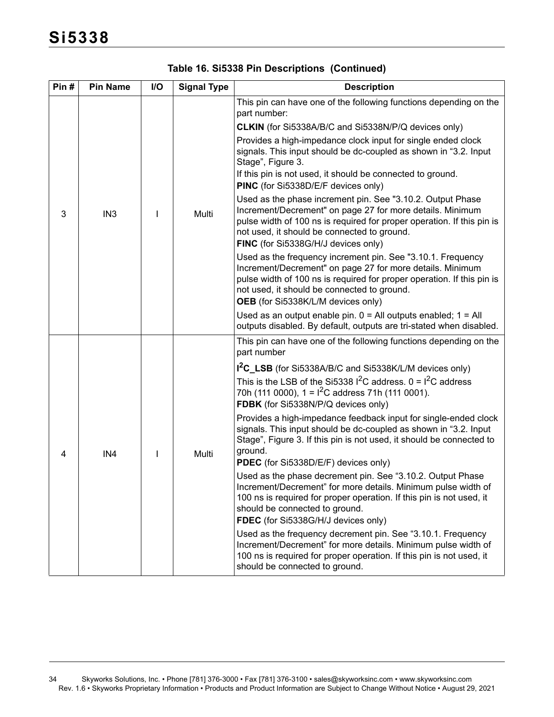| Pin# | <b>Pin Name</b> | I/O | <b>Signal Type</b> | <b>Description</b>                                                                                                                                                                                                                                                                      |  |
|------|-----------------|-----|--------------------|-----------------------------------------------------------------------------------------------------------------------------------------------------------------------------------------------------------------------------------------------------------------------------------------|--|
|      |                 |     |                    | This pin can have one of the following functions depending on the<br>part number:                                                                                                                                                                                                       |  |
|      |                 |     |                    | <b>CLKIN</b> (for Si5338A/B/C and Si5338N/P/Q devices only)                                                                                                                                                                                                                             |  |
| 3    |                 |     |                    | Provides a high-impedance clock input for single ended clock<br>signals. This input should be dc-coupled as shown in "3.2. Input<br>Stage", Figure 3.<br>If this pin is not used, it should be connected to ground.<br>PINC (for Si5338D/E/F devices only)                              |  |
|      | IN <sub>3</sub> |     | Multi              | Used as the phase increment pin. See "3.10.2. Output Phase<br>Increment/Decrement" on page 27 for more details. Minimum<br>pulse width of 100 ns is required for proper operation. If this pin is<br>not used, it should be connected to ground.<br>FINC (for Si5338G/H/J devices only) |  |
|      |                 |     |                    | Used as the frequency increment pin. See "3.10.1. Frequency<br>Increment/Decrement" on page 27 for more details. Minimum<br>pulse width of 100 ns is required for proper operation. If this pin is<br>not used, it should be connected to ground.<br>OEB (for Si5338K/L/M devices only) |  |
|      |                 |     |                    | Used as an output enable pin. $0 =$ All outputs enabled; $1 =$ All<br>outputs disabled. By default, outputs are tri-stated when disabled.                                                                                                                                               |  |
|      |                 |     |                    | This pin can have one of the following functions depending on the<br>part number                                                                                                                                                                                                        |  |
|      |                 |     |                    | I <sup>2</sup> C_LSB (for Si5338A/B/C and Si5338K/L/M devices only)                                                                                                                                                                                                                     |  |
|      |                 |     | Multi              | This is the LSB of the Si5338 $1^2$ C address. 0 = $1^2$ C address<br>70h (111 0000), $1 = 1^2C$ address 71h (111 0001).<br>FDBK (for Si5338N/P/Q devices only)                                                                                                                         |  |
| 4    | IN4             |     |                    | Provides a high-impedance feedback input for single-ended clock<br>signals. This input should be dc-coupled as shown in "3.2. Input<br>Stage", Figure 3. If this pin is not used, it should be connected to<br>ground.<br>PDEC (for Si5338D/E/F) devices only)                          |  |
|      |                 |     |                    | Used as the phase decrement pin. See "3.10.2. Output Phase<br>Increment/Decrement" for more details. Minimum pulse width of<br>100 ns is required for proper operation. If this pin is not used, it<br>should be connected to ground.<br>FDEC (for Si5338G/H/J devices only)            |  |
|      |                 |     |                    | Used as the frequency decrement pin. See "3.10.1. Frequency<br>Increment/Decrement" for more details. Minimum pulse width of<br>100 ns is required for proper operation. If this pin is not used, it<br>should be connected to ground.                                                  |  |

## **Table 16. Si5338 Pin Descriptions (Continued)**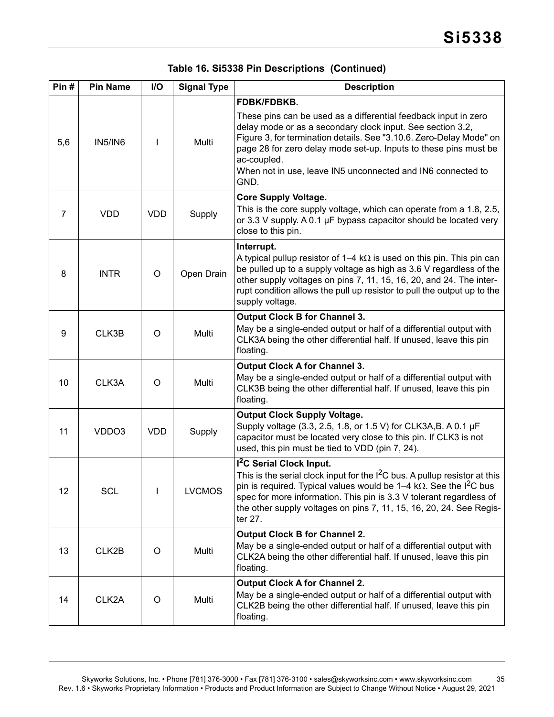|  |  |  | Table 16. Si5338 Pin Descriptions (Continued) |  |
|--|--|--|-----------------------------------------------|--|
|--|--|--|-----------------------------------------------|--|

| Pin#           | <b>Pin Name</b> | I/O        | <b>Signal Type</b> | <b>Description</b>                                                                                                                                                                                                                                                                                                                                                            |  |  |
|----------------|-----------------|------------|--------------------|-------------------------------------------------------------------------------------------------------------------------------------------------------------------------------------------------------------------------------------------------------------------------------------------------------------------------------------------------------------------------------|--|--|
| 5,6            | <b>IN5/IN6</b>  |            | Multi              | FDBK/FDBKB.<br>These pins can be used as a differential feedback input in zero<br>delay mode or as a secondary clock input. See section 3.2,<br>Figure 3, for termination details. See "3.10.6. Zero-Delay Mode" on<br>page 28 for zero delay mode set-up. Inputs to these pins must be<br>ac-coupled.<br>When not in use, leave IN5 unconnected and IN6 connected to<br>GND. |  |  |
| $\overline{7}$ | <b>VDD</b>      | <b>VDD</b> | Supply             | <b>Core Supply Voltage.</b><br>This is the core supply voltage, which can operate from a 1.8, 2.5,<br>or 3.3 V supply. A 0.1 µF bypass capacitor should be located very<br>close to this pin.                                                                                                                                                                                 |  |  |
| 8              | <b>INTR</b>     | $\circ$    | Open Drain         | Interrupt.<br>A typical pullup resistor of 1–4 k $\Omega$ is used on this pin. This pin can<br>be pulled up to a supply voltage as high as 3.6 V regardless of the<br>other supply voltages on pins 7, 11, 15, 16, 20, and 24. The inter-<br>rupt condition allows the pull up resistor to pull the output up to the<br>supply voltage.                                       |  |  |
| 9              | CLK3B           | $\circ$    | Multi              | <b>Output Clock B for Channel 3.</b><br>May be a single-ended output or half of a differential output with<br>CLK3A being the other differential half. If unused, leave this pin<br>floating.                                                                                                                                                                                 |  |  |
| 10             | CLK3A           | $\circ$    | Multi              | <b>Output Clock A for Channel 3.</b><br>May be a single-ended output or half of a differential output with<br>CLK3B being the other differential half. If unused, leave this pin<br>floating.                                                                                                                                                                                 |  |  |
| 11             | VDDO3           | <b>VDD</b> | Supply             | <b>Output Clock Supply Voltage.</b><br>Supply voltage (3.3, 2.5, 1.8, or 1.5 V) for CLK3A, B. A 0.1 µF<br>capacitor must be located very close to this pin. If CLK3 is not<br>used, this pin must be tied to VDD (pin 7, 24).                                                                                                                                                 |  |  |
| 12             | <b>SCL</b>      |            | <b>LVCMOS</b>      | I <sup>2</sup> C Serial Clock Input.<br>This is the serial clock input for the $I^2C$ bus. A pullup resistor at this<br>pin is required. Typical values would be $1-4$ k $\Omega$ . See the I <sup>2</sup> C bus<br>spec for more information. This pin is 3.3 V tolerant regardless of<br>the other supply voltages on pins 7, 11, 15, 16, 20, 24. See Regis-<br>ter 27.     |  |  |
| 13             | CLK2B           | O          | Multi              | <b>Output Clock B for Channel 2.</b><br>May be a single-ended output or half of a differential output with<br>CLK2A being the other differential half. If unused, leave this pin<br>floating.                                                                                                                                                                                 |  |  |
| 14             | CLK2A           | O          | Multi              | <b>Output Clock A for Channel 2.</b><br>May be a single-ended output or half of a differential output with<br>CLK2B being the other differential half. If unused, leave this pin<br>floating.                                                                                                                                                                                 |  |  |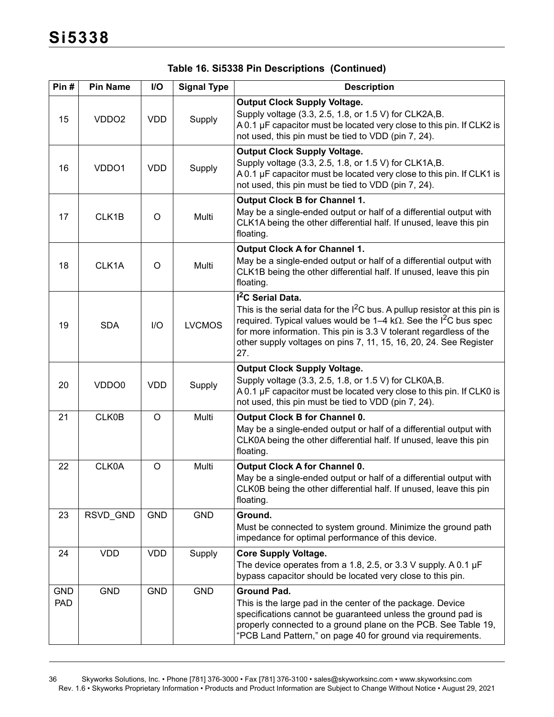| Pin#                     | <b>Pin Name</b>   | I/O        | <b>Signal Type</b> | <b>Description</b>                                                                                                                                                                                                                                                                                                                                      |  |  |
|--------------------------|-------------------|------------|--------------------|---------------------------------------------------------------------------------------------------------------------------------------------------------------------------------------------------------------------------------------------------------------------------------------------------------------------------------------------------------|--|--|
| 15                       | VDDO <sub>2</sub> | <b>VDD</b> | Supply             | <b>Output Clock Supply Voltage.</b><br>Supply voltage (3.3, 2.5, 1.8, or 1.5 V) for CLK2A, B.<br>A 0.1 µF capacitor must be located very close to this pin. If CLK2 is<br>not used, this pin must be tied to VDD (pin 7, 24).                                                                                                                           |  |  |
| 16                       | VDDO1             | <b>VDD</b> | Supply             | <b>Output Clock Supply Voltage.</b><br>Supply voltage (3.3, 2.5, 1.8, or 1.5 V) for CLK1A, B.<br>A 0.1 µF capacitor must be located very close to this pin. If CLK1 is<br>not used, this pin must be tied to VDD (pin 7, 24).                                                                                                                           |  |  |
| 17                       | CLK1B             | O          | Multi              | <b>Output Clock B for Channel 1.</b><br>May be a single-ended output or half of a differential output with<br>CLK1A being the other differential half. If unused, leave this pin<br>floating.                                                                                                                                                           |  |  |
| 18                       | CLK1A             | O          | Multi              | <b>Output Clock A for Channel 1.</b><br>May be a single-ended output or half of a differential output with<br>CLK1B being the other differential half. If unused, leave this pin<br>floating.                                                                                                                                                           |  |  |
| 19                       | <b>SDA</b>        | I/O        | <b>LVCMOS</b>      | I <sup>2</sup> C Serial Data.<br>This is the serial data for the $I^2C$ bus. A pullup resistor at this pin is<br>required. Typical values would be 1–4 k $\Omega$ . See the I <sup>2</sup> C bus spec<br>for more information. This pin is 3.3 V tolerant regardless of the<br>other supply voltages on pins 7, 11, 15, 16, 20, 24. See Register<br>27. |  |  |
| 20                       | VDDO <sub>0</sub> | <b>VDD</b> | Supply             | <b>Output Clock Supply Voltage.</b><br>Supply voltage (3.3, 2.5, 1.8, or 1.5 V) for CLK0A,B.<br>A 0.1 µF capacitor must be located very close to this pin. If CLK0 is<br>not used, this pin must be tied to VDD (pin 7, 24).                                                                                                                            |  |  |
| 21                       | CLK0B             | $\circ$    | Multi              | <b>Output Clock B for Channel 0.</b><br>May be a single-ended output or half of a differential output with<br>CLK0A being the other differential half. If unused, leave this pin<br>floating.                                                                                                                                                           |  |  |
| 22                       | CLK0A             | $\circ$    | Multi              | <b>Output Clock A for Channel 0.</b><br>May be a single-ended output or half of a differential output with<br>CLK0B being the other differential half. If unused, leave this pin<br>floating.                                                                                                                                                           |  |  |
| 23                       | RSVD_GND          | <b>GND</b> | <b>GND</b>         | Ground.<br>Must be connected to system ground. Minimize the ground path<br>impedance for optimal performance of this device.                                                                                                                                                                                                                            |  |  |
| 24                       | <b>VDD</b>        | <b>VDD</b> | Supply             | <b>Core Supply Voltage.</b><br>The device operates from a 1.8, 2.5, or 3.3 V supply. A 0.1 $\mu$ F<br>bypass capacitor should be located very close to this pin.                                                                                                                                                                                        |  |  |
| <b>GND</b><br><b>PAD</b> | GND               | <b>GND</b> | <b>GND</b>         | <b>Ground Pad.</b><br>This is the large pad in the center of the package. Device<br>specifications cannot be guaranteed unless the ground pad is<br>properly connected to a ground plane on the PCB. See Table 19,<br>"PCB Land Pattern," on page 40 for ground via requirements.                                                                       |  |  |

## **Table 16. Si5338 Pin Descriptions (Continued)**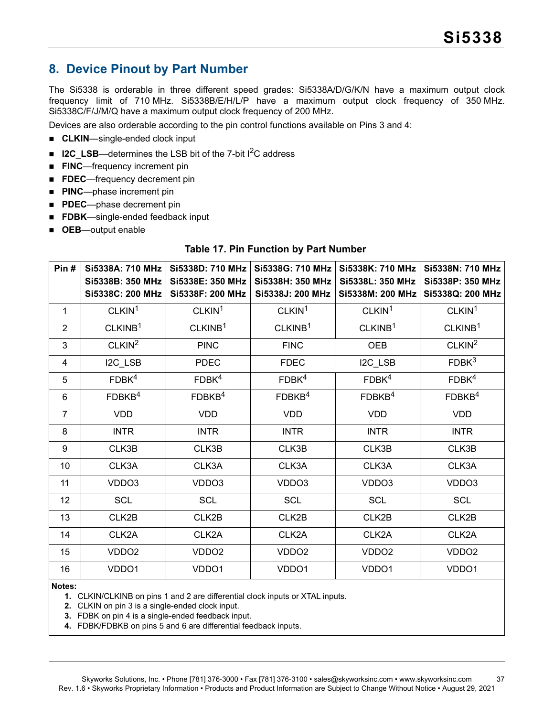## <span id="page-36-0"></span>**8. Device Pinout by Part Number**

The Si5338 is orderable in three different speed grades: Si5338A/D/G/K/N have a maximum output clock frequency limit of 710 MHz. Si5338B/E/H/L/P have a maximum output clock frequency of 350 MHz. Si5338C/F/J/M/Q have a maximum output clock frequency of 200 MHz.

Devices are also orderable according to the pin control functions available on Pins 3 and 4:

- **CLKIN**—single-ended clock input
- **I2C\_LSB**—determines the LSB bit of the 7-bit I<sup>2</sup>C address
- **FINC**—frequency increment pin
- **FDEC**—frequency decrement pin
- **PINC**—phase increment pin
- **PDEC**—phase decrement pin
- **FDBK**—single-ended feedback input
- <span id="page-36-1"></span>**OEB**—output enable

#### **Table 17. Pin Function by Part Number**

| Pin#           | Si5338A: 710 MHz<br>Si5338B: 350 MHz<br>Si5338C: 200 MHz | Si5338D: 710 MHz<br>Si5338E: 350 MHz<br>Si5338F: 200 MHz | Si5338G: 710 MHz<br>Si5338H: 350 MHz<br>Si5338J: 200 MHz | Si5338K: 710 MHz<br>Si5338L: 350 MHz<br>Si5338M: 200 MHz | Si5338N: 710 MHz<br>Si5338P: 350 MHz<br>Si5338Q: 200 MHz |
|----------------|----------------------------------------------------------|----------------------------------------------------------|----------------------------------------------------------|----------------------------------------------------------|----------------------------------------------------------|
| 1              | CLKIN <sup>1</sup>                                       | CLKIN <sup>1</sup>                                       | CLKIN <sup>1</sup>                                       | CLKIN <sup>1</sup>                                       | CLKIN <sup>1</sup>                                       |
| $\overline{2}$ | CLKINB <sup>1</sup>                                      | CLKINB <sup>1</sup>                                      | CLKINB <sup>1</sup>                                      | CLKINB <sup>1</sup>                                      | CLKINB <sup>1</sup>                                      |
| 3              | CLKIN <sup>2</sup>                                       | <b>PINC</b>                                              | <b>FINC</b>                                              | OEB                                                      | CLKIN <sup>2</sup>                                       |
| 4              | I2C_LSB                                                  | <b>PDEC</b>                                              | <b>FDEC</b>                                              | I2C_LSB                                                  | FDBK <sup>3</sup>                                        |
| 5              | FDBK <sup>4</sup>                                        | FDBK <sup>4</sup>                                        | FDBK <sup>4</sup>                                        | FDBK <sup>4</sup>                                        | FDBK <sup>4</sup>                                        |
| $6\phantom{1}$ | FDBKB <sup>4</sup>                                       | FDBKB <sup>4</sup>                                       | FDBKB <sup>4</sup>                                       | FDBKB <sup>4</sup>                                       | FDBKB <sup>4</sup>                                       |
| $\overline{7}$ | <b>VDD</b>                                               | <b>VDD</b>                                               | <b>VDD</b>                                               | <b>VDD</b>                                               | <b>VDD</b>                                               |
| 8              | <b>INTR</b>                                              | <b>INTR</b>                                              | <b>INTR</b>                                              | <b>INTR</b>                                              | <b>INTR</b>                                              |
| 9              | CLK3B                                                    | CLK3B                                                    | CLK3B                                                    | CLK3B                                                    | CLK3B                                                    |
| 10             | CLK3A                                                    | CLK3A                                                    | CLK3A                                                    | CLK3A                                                    | CLK3A                                                    |
| 11             | VDDO3                                                    | VDDO3                                                    | VDDO3                                                    | VDDO3                                                    | VDDO3                                                    |
| 12             | <b>SCL</b>                                               | <b>SCL</b>                                               | <b>SCL</b>                                               | <b>SCL</b>                                               | <b>SCL</b>                                               |
| 13             | CLK2B                                                    | CLK2B                                                    | CLK2B                                                    | CLK2B                                                    | CLK2B                                                    |
| 14             | CLK2A                                                    | CLK2A                                                    | CLK2A                                                    | CLK2A                                                    | CLK2A                                                    |
| 15             | VDDO <sub>2</sub>                                        | VDDO <sub>2</sub>                                        | VDDO <sub>2</sub>                                        | VDDO <sub>2</sub>                                        | VDDO <sub>2</sub>                                        |
| 16             | VDDO1                                                    | VDDO1                                                    | VDDO1                                                    | VDDO1                                                    | VDDO1                                                    |

<span id="page-36-2"></span>**Notes:**

**1.** CLKIN/CLKINB on pins 1 and 2 are differential clock inputs or XTAL inputs.

- <span id="page-36-5"></span>**2.** CLKIN on pin 3 is a single-ended clock input.
- <span id="page-36-4"></span>**3.** FDBK on pin 4 is a single-ended feedback input.
- <span id="page-36-3"></span>**4.** FDBK/FDBKB on pins 5 and 6 are differential feedback inputs.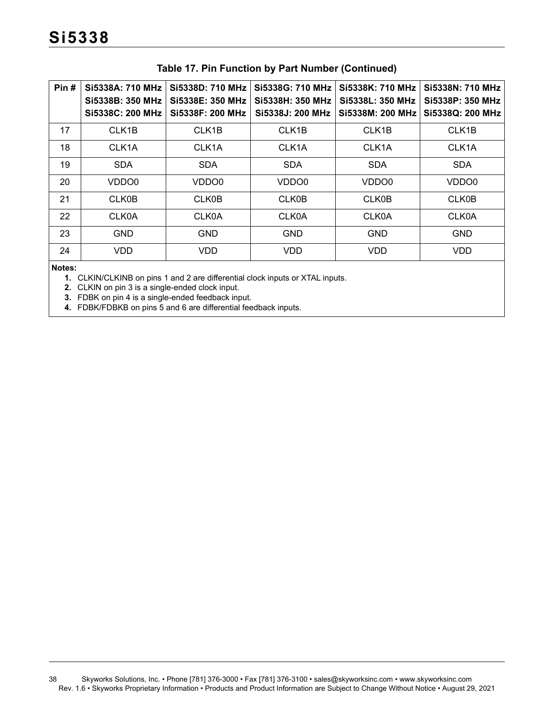| Pin#   | Si5338A: 710 MHz<br>Si5338B: 350 MHz<br>Si5338C: 200 MHz                                                                                                                                                                                                                                                                                                           | Si5338D: 710 MHz<br>Si5338E: 350 MHz<br>Si5338F: 200 MHz | Si5338G: 710 MHz<br>Si5338H: 350 MHz<br>Si5338J: 200 MHz | Si5338K: 710 MHz<br>Si5338L: 350 MHz<br>Si5338M: 200 MHz | Si5338N: 710 MHz<br>Si5338P: 350 MHz<br>Si5338Q: 200 MHz |
|--------|--------------------------------------------------------------------------------------------------------------------------------------------------------------------------------------------------------------------------------------------------------------------------------------------------------------------------------------------------------------------|----------------------------------------------------------|----------------------------------------------------------|----------------------------------------------------------|----------------------------------------------------------|
| 17     | CLK1B                                                                                                                                                                                                                                                                                                                                                              | CLK <sub>1</sub> B                                       | CLK <sub>1</sub> B                                       | CLK <sub>1</sub> B                                       | CLK <sub>1</sub> B                                       |
| 18     | CLK1A                                                                                                                                                                                                                                                                                                                                                              | CLK <sub>1</sub> A                                       | CLK1A                                                    | CLK1A                                                    | CLK1A                                                    |
| 19     | <b>SDA</b>                                                                                                                                                                                                                                                                                                                                                         | <b>SDA</b>                                               | <b>SDA</b>                                               | <b>SDA</b>                                               | <b>SDA</b>                                               |
| 20     | VDDO <sub>0</sub>                                                                                                                                                                                                                                                                                                                                                  | VDDO0                                                    | VDDO0                                                    | VDDO0                                                    | VDDO0                                                    |
| 21     | <b>CLK0B</b>                                                                                                                                                                                                                                                                                                                                                       | <b>CLK0B</b>                                             | <b>CLK0B</b>                                             | <b>CLK0B</b>                                             | <b>CLK0B</b>                                             |
| 22     | <b>CLK0A</b>                                                                                                                                                                                                                                                                                                                                                       | <b>CLK0A</b>                                             | <b>CLK0A</b>                                             | <b>CLK0A</b>                                             | <b>CLK0A</b>                                             |
| 23     | <b>GND</b>                                                                                                                                                                                                                                                                                                                                                         | <b>GND</b>                                               | <b>GND</b>                                               | <b>GND</b>                                               | <b>GND</b>                                               |
| 24     | VDD                                                                                                                                                                                                                                                                                                                                                                | <b>VDD</b>                                               | <b>VDD</b>                                               | <b>VDD</b>                                               | <b>VDD</b>                                               |
| Notes: | $\blacktriangleleft$ $\cap$ $V(N)/\cap$ $V(N)$ $\cap$ $\sim$ $\sim$ $\sim$ $\blacktriangleleft$ $\sim$ $\sim$ $\blacktriangleleft$ $\sim$ $\sim$ $\mathcal{L}$ $\mathcal{L}$ $\sim$ $\sim$ $\mathcal{L}$ $\sim$ $\sim$ $\mathcal{L}$ $\sim$ $\sim$ $\mathcal{L}$ $\sim$ $\sim$ $\mathcal{L}$ $\sim$ $\sim$ $\mathcal{L}$ $\sim$ $\sim$ $\sim$ $\sim$ $\sim$ $\sim$ |                                                          |                                                          |                                                          |                                                          |

## **Table 17. Pin Function by Part Number (Continued)**

**1.** CLKIN/CLKINB on pins 1 and 2 are differential clock inputs or XTAL inputs.

**2.** CLKIN on pin 3 is a single-ended clock input.

**3.** FDBK on pin 4 is a single-ended feedback input.

**4.** FDBK/FDBKB on pins 5 and 6 are differential feedback inputs.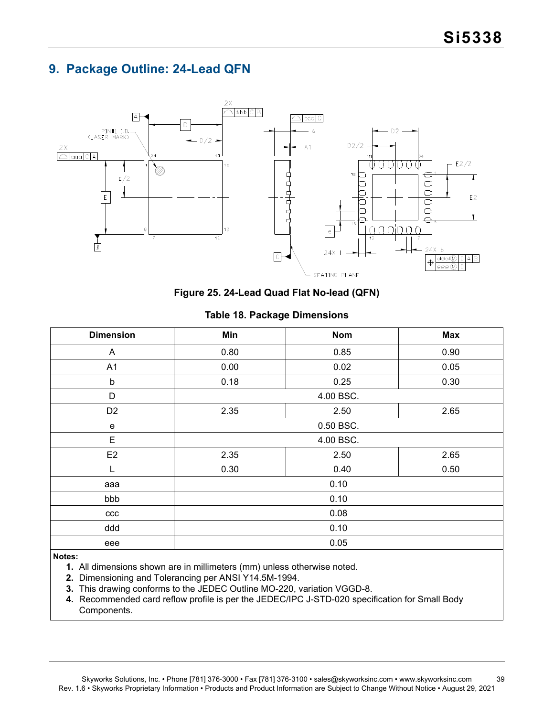## <span id="page-38-0"></span>**9. Package Outline: 24-Lead QFN**



**Figure 25. 24-Lead Quad Flat No-lead (QFN)**

| <b>Dimension</b> | Min                  | <b>Nom</b>   | <b>Max</b> |  |  |  |
|------------------|----------------------|--------------|------------|--|--|--|
| A                | 0.80<br>0.85<br>0.90 |              |            |  |  |  |
| A <sub>1</sub>   | 0.05<br>0.00<br>0.02 |              |            |  |  |  |
| b                | 0.18                 | 0.25<br>0.30 |            |  |  |  |
| D                | 4.00 BSC.            |              |            |  |  |  |
| D <sub>2</sub>   | 2.35<br>2.50<br>2.65 |              |            |  |  |  |
| e                | 0.50 BSC.            |              |            |  |  |  |
| E                | 4.00 BSC.            |              |            |  |  |  |
| E <sub>2</sub>   | 2.35<br>2.50<br>2.65 |              |            |  |  |  |
| L                | 0.30<br>0.40<br>0.50 |              |            |  |  |  |
| aaa              |                      | 0.10         |            |  |  |  |
| bbb              |                      | 0.10         |            |  |  |  |
| ccc              | 0.08                 |              |            |  |  |  |
| ddd              | 0.10                 |              |            |  |  |  |
| eee              |                      | 0.05         |            |  |  |  |

### **Table 18. Package Dimensions**

#### **Notes:**

**1.** All dimensions shown are in millimeters (mm) unless otherwise noted.

- **2.** Dimensioning and Tolerancing per ANSI Y14.5M-1994.
- **3.** This drawing conforms to the JEDEC Outline MO-220, variation VGGD-8.
- **4.** Recommended card reflow profile is per the JEDEC/IPC J-STD-020 specification for Small Body Components.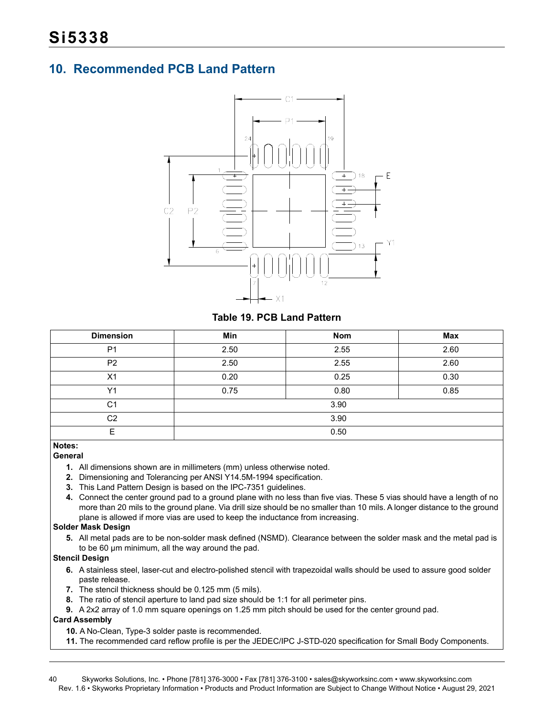## <span id="page-39-0"></span>**10. Recommended PCB Land Pattern**



**Table 19. PCB Land Pattern**

<span id="page-39-1"></span>

| <b>Dimension</b> | Min  | <b>Nom</b> | <b>Max</b> |  |  |
|------------------|------|------------|------------|--|--|
| P <sub>1</sub>   | 2.50 | 2.55       | 2.60       |  |  |
| P <sub>2</sub>   | 2.50 | 2.55       | 2.60       |  |  |
| X <sub>1</sub>   | 0.20 | 0.25       | 0.30       |  |  |
| Y1               | 0.75 | 0.80       | 0.85       |  |  |
| C <sub>1</sub>   |      | 3.90       |            |  |  |
| C <sub>2</sub>   | 3.90 |            |            |  |  |
| Е                | 0.50 |            |            |  |  |

#### **Notes:**

#### **General**

- **1.** All dimensions shown are in millimeters (mm) unless otherwise noted.
- **2.** Dimensioning and Tolerancing per ANSI Y14.5M-1994 specification.
- **3.** This Land Pattern Design is based on the IPC-7351 guidelines.
- **4.** Connect the center ground pad to a ground plane with no less than five vias. These 5 vias should have a length of no more than 20 mils to the ground plane. Via drill size should be no smaller than 10 mils. A longer distance to the ground plane is allowed if more vias are used to keep the inductance from increasing.

#### **Solder Mask Design**

**5.** All metal pads are to be non-solder mask defined (NSMD). Clearance between the solder mask and the metal pad is to be 60 µm minimum, all the way around the pad.

#### **Stencil Design**

- **6.** A stainless steel, laser-cut and electro-polished stencil with trapezoidal walls should be used to assure good solder paste release.
- **7.** The stencil thickness should be 0.125 mm (5 mils).
- **8.** The ratio of stencil aperture to land pad size should be 1:1 for all perimeter pins.
- **9.** A 2x2 array of 1.0 mm square openings on 1.25 mm pitch should be used for the center ground pad.

#### **Card Assembly**

- **10.** A No-Clean, Type-3 solder paste is recommended.
- **11.** The recommended card reflow profile is per the JEDEC/IPC J-STD-020 specification for Small Body Components.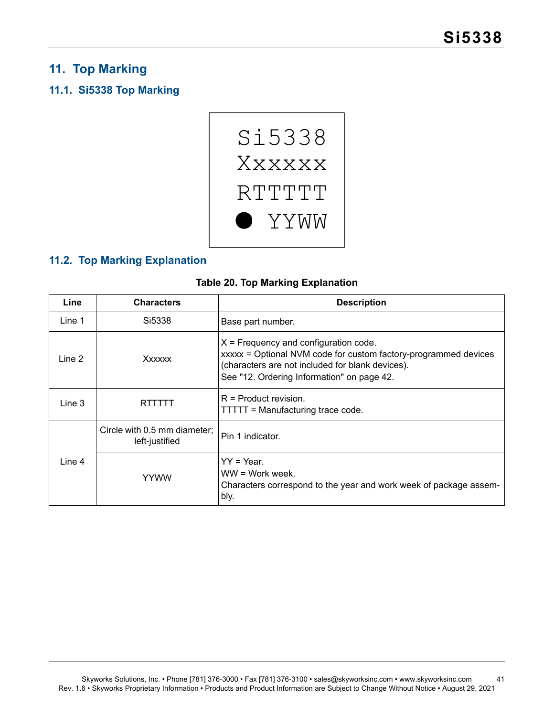## <span id="page-40-0"></span>**11. Top Marking**

## <span id="page-40-1"></span>**11.1. Si5338 Top Marking**



## <span id="page-40-2"></span>**11.2. Top Marking Explanation**

| <b>Table 20. Top Marking Explanation</b> |  |  |  |  |
|------------------------------------------|--|--|--|--|
|------------------------------------------|--|--|--|--|

<span id="page-40-3"></span>

| Line   | <b>Characters</b>                              | <b>Description</b>                                                                                                                                                                                           |
|--------|------------------------------------------------|--------------------------------------------------------------------------------------------------------------------------------------------------------------------------------------------------------------|
| Line 1 | Si5338                                         | Base part number.                                                                                                                                                                                            |
| Line 2 | Xxxxxx                                         | $X =$ Frequency and configuration code.<br>xxxxx = Optional NVM code for custom factory-programmed devices<br>(characters are not included for blank devices).<br>See "12. Ordering Information" on page 42. |
| Line 3 | RTTTTT                                         | $R =$ Product revision.<br>TTTTT = Manufacturing trace code.                                                                                                                                                 |
|        | Circle with 0.5 mm diameter:<br>left-justified | Pin 1 indicator.                                                                                                                                                                                             |
| Line 4 | <b>YYWW</b>                                    | $YY = Year.$<br>WW = Work week.<br>Characters correspond to the year and work week of package assem-<br>bly.                                                                                                 |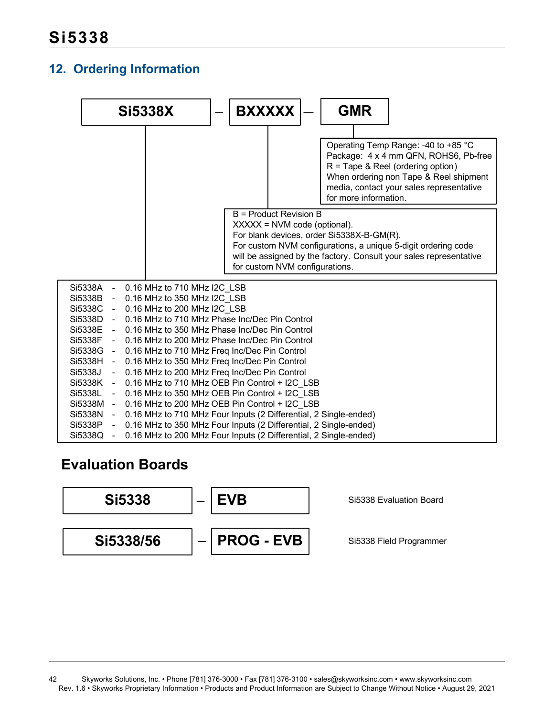## <span id="page-41-0"></span>**12. Ordering Information**

|  | <b>BXXXXX</b> |                                                                                           | <b>GMR</b>                                                                                                                                                                                                                                                                                                                                                                                                                                         |                                                                                                                                                                                                                                                                                                                                                                                                                                                                                           |
|--|---------------|-------------------------------------------------------------------------------------------|----------------------------------------------------------------------------------------------------------------------------------------------------------------------------------------------------------------------------------------------------------------------------------------------------------------------------------------------------------------------------------------------------------------------------------------------------|-------------------------------------------------------------------------------------------------------------------------------------------------------------------------------------------------------------------------------------------------------------------------------------------------------------------------------------------------------------------------------------------------------------------------------------------------------------------------------------------|
|  |               |                                                                                           | Operating Temp Range: -40 to +85 °C<br>$R =$ Tape & Reel (ordering option)<br>media, contact your sales representative<br>for more information.                                                                                                                                                                                                                                                                                                    | Package: 4 x 4 mm QFN, ROHS6, Pb-free<br>When ordering non Tape & Reel shipment                                                                                                                                                                                                                                                                                                                                                                                                           |
|  |               |                                                                                           |                                                                                                                                                                                                                                                                                                                                                                                                                                                    |                                                                                                                                                                                                                                                                                                                                                                                                                                                                                           |
|  |               |                                                                                           |                                                                                                                                                                                                                                                                                                                                                                                                                                                    |                                                                                                                                                                                                                                                                                                                                                                                                                                                                                           |
|  |               | 0.16 MHz to 710 MHz I2C LSB<br>0.16 MHz to 350 MHz I2C LSB<br>0.16 MHz to 200 MHz I2C LSB | 0.16 MHz to 710 MHz Phase Inc/Dec Pin Control<br>0.16 MHz to 350 MHz Phase Inc/Dec Pin Control<br>0.16 MHz to 200 MHz Phase Inc/Dec Pin Control<br>0.16 MHz to 710 MHz Freq Inc/Dec Pin Control<br>0.16 MHz to 350 MHz Freq Inc/Dec Pin Control<br>0.16 MHz to 200 MHz Freq Inc/Dec Pin Control<br>0.16 MHz to 710 MHz OEB Pin Control + I2C LSB<br>0.16 MHz to 350 MHz OEB Pin Control + I2C LSB<br>0.16 MHz to 200 MHz OEB Pin Control + I2C LSB | B = Product Revision B<br>$XXXX = NVM code (optional).$<br>For blank devices, order Si5338X-B-GM(R).<br>For custom NVM configurations, a unique 5-digit ordering code<br>will be assigned by the factory. Consult your sales representative<br>for custom NVM configurations.<br>0.16 MHz to 710 MHz Four Inputs (2 Differential, 2 Single-ended)<br>0.16 MHz to 350 MHz Four Inputs (2 Differential, 2 Single-ended)<br>0.16 MHz to 200 MHz Four Inputs (2 Differential, 2 Single-ended) |

## **Evaluation Boards**

<span id="page-41-1"></span>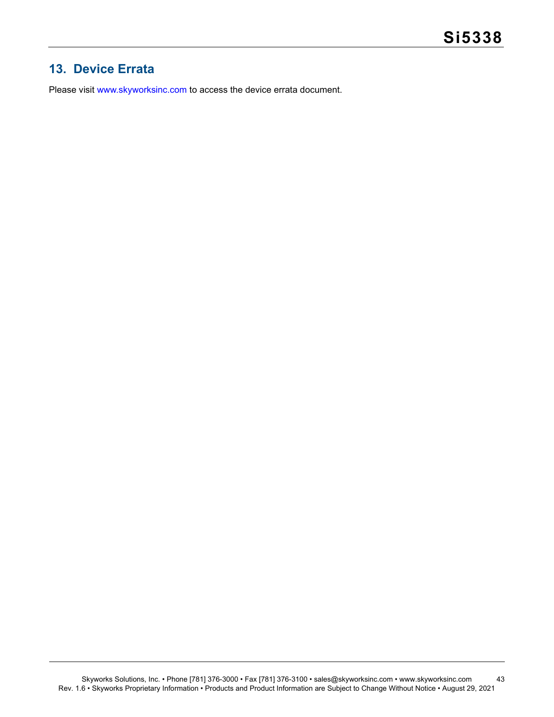## <span id="page-42-0"></span>**13. Device Errata**

Please visit [www.skyworksinc.com](http://www.skyworksinc.com) to access the device errata document.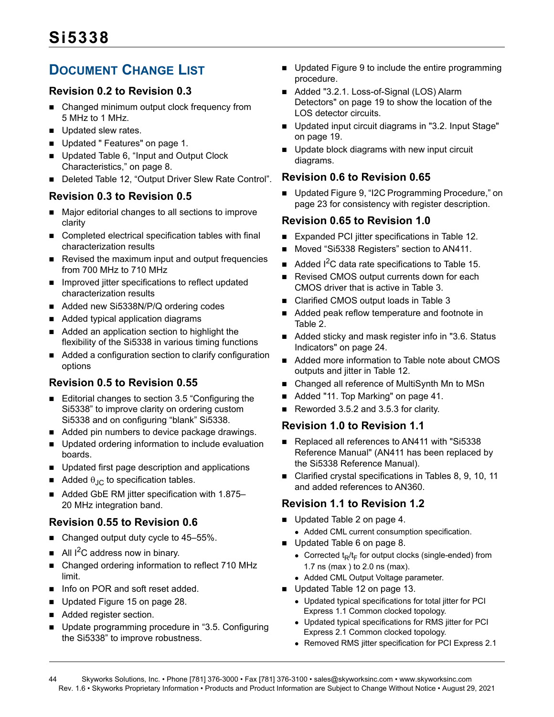## <span id="page-43-0"></span>**DOCUMENT CHANGE LIST**

## **Revision 0.2 to Revision 0.3**

- Changed minimum output clock frequency from 5 MHz to 1 MHz.
- Updated slew rates.
- Updated [" Features" on page 1.](#page-0-0)
- Updated Table 6, "Input and Output Clock [Characteristics," on page 8.](#page-7-8)
- Deleted Table 12, "Output Driver Slew Rate Control".

## **Revision 0.3 to Revision 0.5**

- Major editorial changes to all sections to improve clarity
- Completed electrical specification tables with final characterization results
- Revised the maximum input and output frequencies from 700 MHz to 710 MHz
- **IMPROVED IN** Improved jitter specifications to reflect updated characterization results
- Added new Si5338N/P/Q ordering codes
- Added typical application diagrams
- Added an application section to highlight the flexibility of the Si5338 in various timing functions
- Added a configuration section to clarify configuration options

## **Revision 0.5 to Revision 0.55**

- Editorial changes to section [3.5](#page-20-1) "Configuring the Si5338" to improve clarity on ordering custom Si5338 and on configuring "blank" Si5338.
- Added pin numbers to device package drawings.
- **Updated ordering information to include evaluation** boards.
- **Updated first page description and applications**
- Added  $\theta_{\text{JC}}$  to specification tables.
- Added GbE RM jitter specification with 1.875– 20 MHz integration band.

## **Revision 0.55 to Revision 0.6**

- Changed output duty cycle to 45-55%.
- All  $I^2C$  address now in binary.
- Changed ordering information to reflect 710 MHz limit.
- Info on POR and soft reset added.
- Updated [Figure 15 on page 28.](#page-27-1)
- Added register section.
- **DEDUPE Update programming procedure in "3.5. Configuring** [the Si5338"](#page-20-1) to improve robustness.
- Updated [Figure 9](#page-22-0) to include the entire programming procedure.
- Added "3.2.1. Loss-of-Signal (LOS) Alarm [Detectors" on page 19](#page-18-4) to show the location of the LOS detector circuits.
- Updated input circuit diagrams in "3.2. Input Stage" [on page 19.](#page-18-0)
- Update block diagrams with new input circuit diagrams.

## **Revision 0.6 to Revision 0.65**

■ Updated Figure 9, "I2C Programming Procedure," on [page 23](#page-22-0) for consistency with register description.

## **Revision 0.65 to Revision 1.0**

- Expanded PCI jitter specifications in [Table 12.](#page-12-9)
- Moved "Si5338 Registers" section to AN411.
- Added  $1^2C$  data rate specifications to [Table 15.](#page-15-2)
- Revised CMOS output currents down for each CMOS driver that is active in [Table 3](#page-4-2).
- Clarified CMOS output loads in [Table 3](#page-4-2)
- Added peak reflow temperature and footnote in [Table 2](#page-3-3).
- Added sticky and mask register info in "3.6. Status [Indicators" on page 24](#page-23-0).
- Added more information to Table note about CMOS outputs and jitter in [Table 12.](#page-12-9)
- Changed all reference of MultiSynth Mn to MSn
- Added ["11. Top Marking" on page 41.](#page-40-0)
- Reworded 3.5.2 and 3.5.3 for clarity.

## **Revision 1.0 to Revision 1.1**

- Replaced all references to AN411 with "Si5338 Reference Manual" (AN411 has been replaced by the Si5338 Reference Manual).
- Clarified crystal specifications in Tables 8, 9, 10, 11 and added references to AN360.

## **Revision 1.1 to Revision 1.2**

- Updated [Table 2 on page 4.](#page-3-3)
	- Added CML current consumption specification.
- Updated [Table 6 on page 8.](#page-7-8)
	- Corrected  $t_R/t_F$  for output clocks (single-ended) from 1.7 ns (max ) to 2.0 ns (max).
	- Added CML Output Voltage parameter.
- Updated [Table 12 on page 13.](#page-12-9)
	- Updated typical specifications for total jitter for PCI Express 1.1 Common clocked topology.
	- Updated typical specifications for RMS jitter for PCI Express 2.1 Common clocked topology.
	- Removed RMS jitter specification for PCI Express 2.1